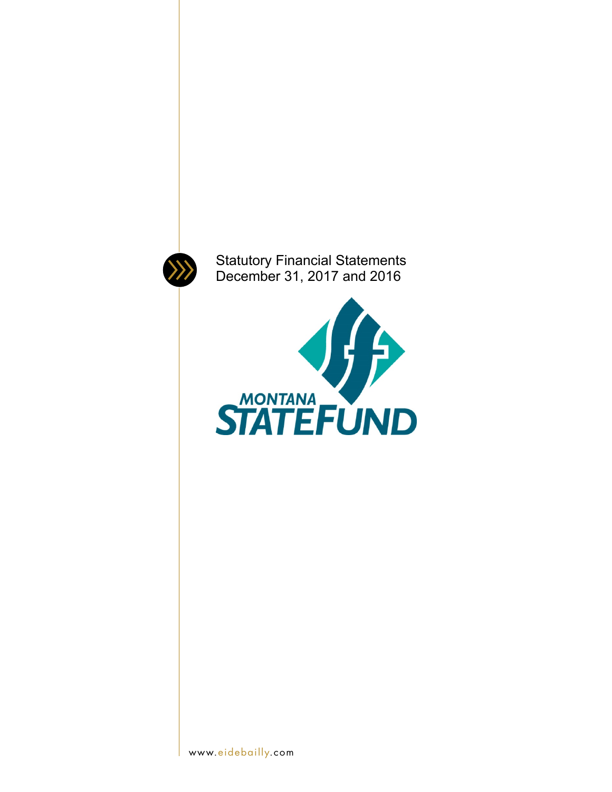

Statutory Financial Statements December 31, 2017 and 2016

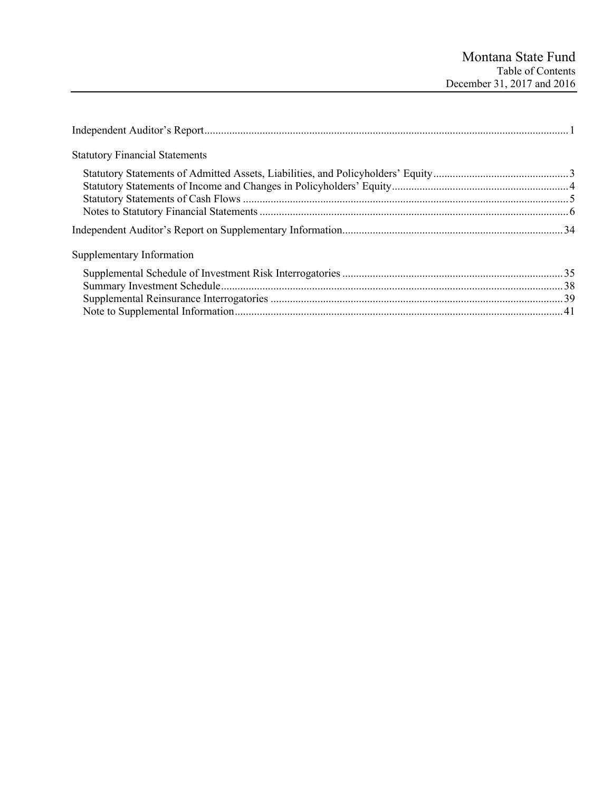| <b>Statutory Financial Statements</b> |  |
|---------------------------------------|--|
|                                       |  |
|                                       |  |
|                                       |  |
| Supplementary Information             |  |
|                                       |  |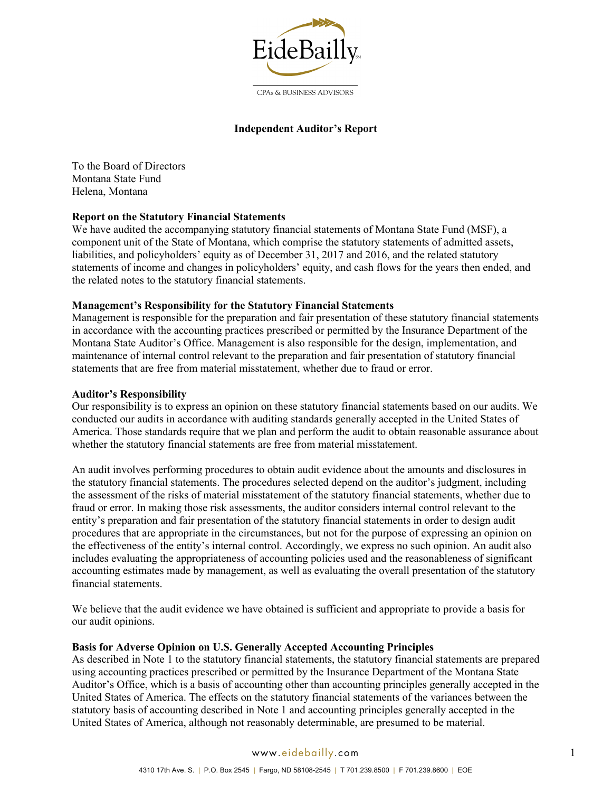

#### CPAs & BUSINESS ADVISORS

### **Independent Auditor's Report**

To the Board of Directors Montana State Fund Helena, Montana

## **Report on the Statutory Financial Statements**

We have audited the accompanying statutory financial statements of Montana State Fund (MSF), a component unit of the State of Montana, which comprise the statutory statements of admitted assets, liabilities, and policyholders' equity as of December 31, 2017 and 2016, and the related statutory statements of income and changes in policyholders' equity, and cash flows for the years then ended, and the related notes to the statutory financial statements.

### **Management's Responsibility for the Statutory Financial Statements**

Management is responsible for the preparation and fair presentation of these statutory financial statements in accordance with the accounting practices prescribed or permitted by the Insurance Department of the Montana State Auditor's Office. Management is also responsible for the design, implementation, and maintenance of internal control relevant to the preparation and fair presentation of statutory financial statements that are free from material misstatement, whether due to fraud or error.

#### **Auditor's Responsibility**

Our responsibility is to express an opinion on these statutory financial statements based on our audits. We conducted our audits in accordance with auditing standards generally accepted in the United States of America. Those standards require that we plan and perform the audit to obtain reasonable assurance about whether the statutory financial statements are free from material misstatement.

An audit involves performing procedures to obtain audit evidence about the amounts and disclosures in the statutory financial statements. The procedures selected depend on the auditor's judgment, including the assessment of the risks of material misstatement of the statutory financial statements, whether due to fraud or error. In making those risk assessments, the auditor considers internal control relevant to the entity's preparation and fair presentation of the statutory financial statements in order to design audit procedures that are appropriate in the circumstances, but not for the purpose of expressing an opinion on the effectiveness of the entity's internal control. Accordingly, we express no such opinion. An audit also includes evaluating the appropriateness of accounting policies used and the reasonableness of significant accounting estimates made by management, as well as evaluating the overall presentation of the statutory financial statements.

We believe that the audit evidence we have obtained is sufficient and appropriate to provide a basis for our audit opinions.

#### **Basis for Adverse Opinion on U.S. Generally Accepted Accounting Principles**

As described in Note 1 to the statutory financial statements, the statutory financial statements are prepared using accounting practices prescribed or permitted by the Insurance Department of the Montana State Auditor's Office, which is a basis of accounting other than accounting principles generally accepted in the United States of America. The effects on the statutory financial statements of the variances between the statutory basis of accounting described in Note 1 and accounting principles generally accepted in the United States of America, although not reasonably determinable, are presumed to be material.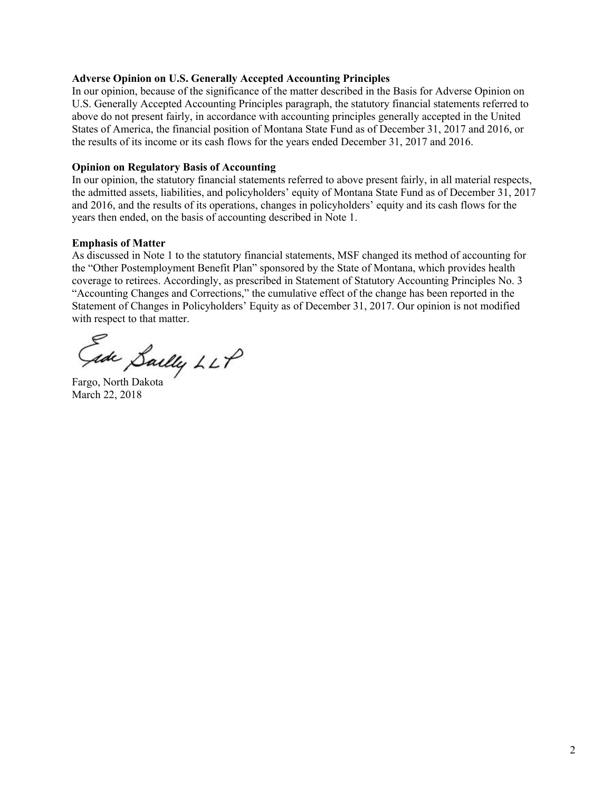## **Adverse Opinion on U.S. Generally Accepted Accounting Principles**

In our opinion, because of the significance of the matter described in the Basis for Adverse Opinion on U.S. Generally Accepted Accounting Principles paragraph, the statutory financial statements referred to above do not present fairly, in accordance with accounting principles generally accepted in the United States of America, the financial position of Montana State Fund as of December 31, 2017 and 2016, or the results of its income or its cash flows for the years ended December 31, 2017 and 2016.

### **Opinion on Regulatory Basis of Accounting**

In our opinion, the statutory financial statements referred to above present fairly, in all material respects, the admitted assets, liabilities, and policyholders' equity of Montana State Fund as of December 31, 2017 and 2016, and the results of its operations, changes in policyholders' equity and its cash flows for the years then ended, on the basis of accounting described in Note 1.

### **Emphasis of Matter**

As discussed in Note 1 to the statutory financial statements, MSF changed its method of accounting for the "Other Postemployment Benefit Plan" sponsored by the State of Montana, which provides health coverage to retirees. Accordingly, as prescribed in Statement of Statutory Accounting Principles No. 3 "Accounting Changes and Corrections," the cumulative effect of the change has been reported in the Statement of Changes in Policyholders' Equity as of December 31, 2017. Our opinion is not modified with respect to that matter.

Gade Sailly LLP

March 22, 2018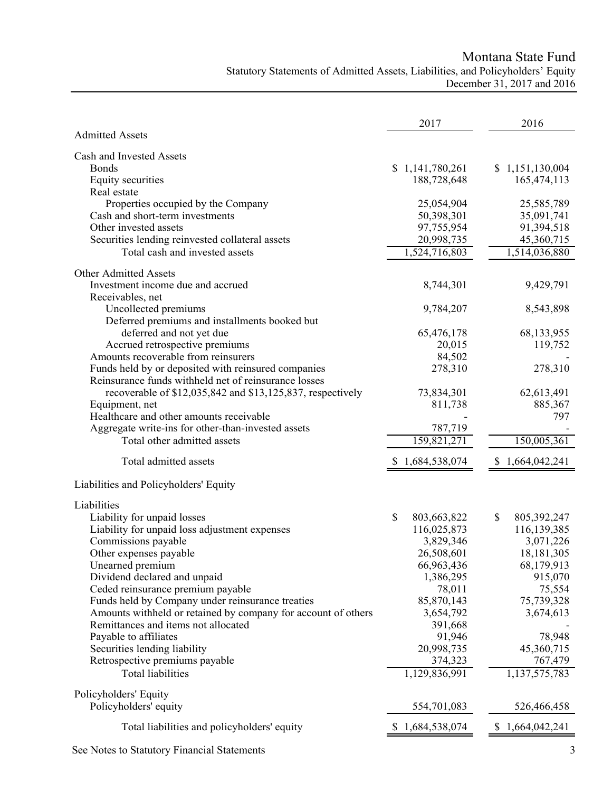Montana State Fund

# Statutory Statements of Admitted Assets, Liabilities, and Policyholders' Equity December 31, 2017 and 2016

|                                                                                                                   | 2017                 | 2016                |
|-------------------------------------------------------------------------------------------------------------------|----------------------|---------------------|
| <b>Admitted Assets</b>                                                                                            |                      |                     |
| Cash and Invested Assets                                                                                          |                      |                     |
| <b>Bonds</b>                                                                                                      | \$1,141,780,261      | \$1,151,130,004     |
| Equity securities<br>Real estate                                                                                  | 188,728,648          | 165,474,113         |
| Properties occupied by the Company                                                                                | 25,054,904           | 25,585,789          |
| Cash and short-term investments                                                                                   | 50,398,301           | 35,091,741          |
| Other invested assets                                                                                             | 97,755,954           | 91,394,518          |
| Securities lending reinvested collateral assets                                                                   | 20,998,735           | 45,360,715          |
| Total cash and invested assets                                                                                    | 1,524,716,803        | 1,514,036,880       |
| <b>Other Admitted Assets</b>                                                                                      |                      |                     |
| Investment income due and accrued                                                                                 | 8,744,301            | 9,429,791           |
| Receivables, net                                                                                                  |                      |                     |
| Uncollected premiums                                                                                              | 9,784,207            | 8,543,898           |
| Deferred premiums and installments booked but                                                                     |                      |                     |
| deferred and not yet due                                                                                          | 65,476,178           | 68,133,955          |
| Accrued retrospective premiums                                                                                    | 20,015               | 119,752             |
| Amounts recoverable from reinsurers                                                                               | 84,502               |                     |
| Funds held by or deposited with reinsured companies                                                               | 278,310              | 278,310             |
| Reinsurance funds withheld net of reinsurance losses                                                              |                      |                     |
| recoverable of \$12,035,842 and \$13,125,837, respectively                                                        | 73,834,301           | 62,613,491          |
| Equipment, net                                                                                                    | 811,738              | 885,367             |
| Healthcare and other amounts receivable<br>Aggregate write-ins for other-than-invested assets                     | 787,719              | 797                 |
| Total other admitted assets                                                                                       | 159,821,271          | 150,005,361         |
|                                                                                                                   |                      |                     |
| Total admitted assets                                                                                             | 1,684,538,074        | 1,664,042,241<br>S  |
| Liabilities and Policyholders' Equity                                                                             |                      |                     |
| Liabilities                                                                                                       |                      |                     |
| Liability for unpaid losses                                                                                       | \$<br>803,663,822    | \$<br>805, 392, 247 |
| Liability for unpaid loss adjustment expenses                                                                     | 116,025,873          | 116,139,385         |
| Commissions payable                                                                                               | 3,829,346            | 3,071,226           |
| Other expenses payable                                                                                            | 26,508,601           | 18,181,305          |
| Unearned premium                                                                                                  | 66,963,436           | 68,179,913          |
| Dividend declared and unpaid                                                                                      | 1,386,295            | 915,070             |
| Ceded reinsurance premium payable                                                                                 | 78,011               | 75,554              |
| Funds held by Company under reinsurance treaties<br>Amounts withheld or retained by company for account of others | 85,870,143           | 75,739,328          |
| Remittances and items not allocated                                                                               | 3,654,792<br>391,668 | 3,674,613           |
| Payable to affiliates                                                                                             | 91,946               | 78,948              |
| Securities lending liability                                                                                      | 20,998,735           | 45,360,715          |
| Retrospective premiums payable                                                                                    | 374,323              | 767,479             |
| <b>Total liabilities</b>                                                                                          | 1,129,836,991        | 1,137,575,783       |
| Policyholders' Equity                                                                                             |                      |                     |
| Policyholders' equity                                                                                             | 554,701,083          | 526,466,458         |
|                                                                                                                   |                      |                     |
| Total liabilities and policyholders' equity                                                                       | 1,684,538,074        | \$1,664,042,241     |

See Notes to Statutory Financial Statements 3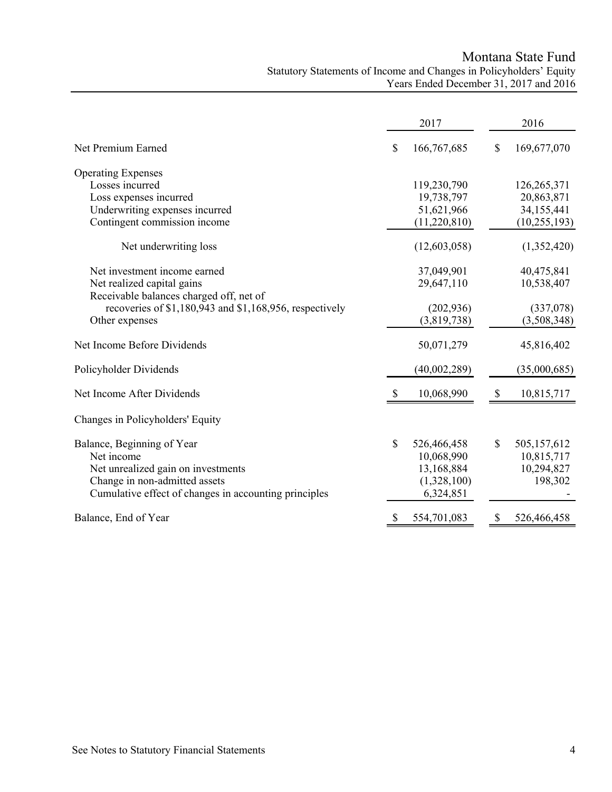Montana State Fund Statutory Statements of Income and Changes in Policyholders' Equity Years Ended December 31, 2017 and 2016

|                                                         | 2017              | 2016              |
|---------------------------------------------------------|-------------------|-------------------|
| Net Premium Earned                                      | \$<br>166,767,685 | \$<br>169,677,070 |
| <b>Operating Expenses</b>                               |                   |                   |
| Losses incurred                                         | 119,230,790       | 126,265,371       |
| Loss expenses incurred                                  | 19,738,797        | 20,863,871        |
| Underwriting expenses incurred                          | 51,621,966        | 34,155,441        |
| Contingent commission income                            | (11,220,810)      | (10, 255, 193)    |
| Net underwriting loss                                   | (12,603,058)      | (1,352,420)       |
| Net investment income earned                            | 37,049,901        | 40,475,841        |
| Net realized capital gains                              | 29,647,110        | 10,538,407        |
| Receivable balances charged off, net of                 |                   |                   |
| recoveries of \$1,180,943 and \$1,168,956, respectively | (202, 936)        | (337,078)         |
| Other expenses                                          | (3,819,738)       | (3,508,348)       |
| Net Income Before Dividends                             | 50,071,279        | 45,816,402        |
| Policyholder Dividends                                  | (40,002,289)      | (35,000,685)      |
| Net Income After Dividends                              | 10,068,990        | 10,815,717        |
| Changes in Policyholders' Equity                        |                   |                   |
| Balance, Beginning of Year                              | \$<br>526,466,458 | \$<br>505,157,612 |
| Net income                                              | 10,068,990        | 10,815,717        |
| Net unrealized gain on investments                      | 13,168,884        | 10,294,827        |
| Change in non-admitted assets                           | (1,328,100)       | 198,302           |
| Cumulative effect of changes in accounting principles   | 6,324,851         |                   |
| Balance, End of Year                                    | \$<br>554,701,083 | \$<br>526,466,458 |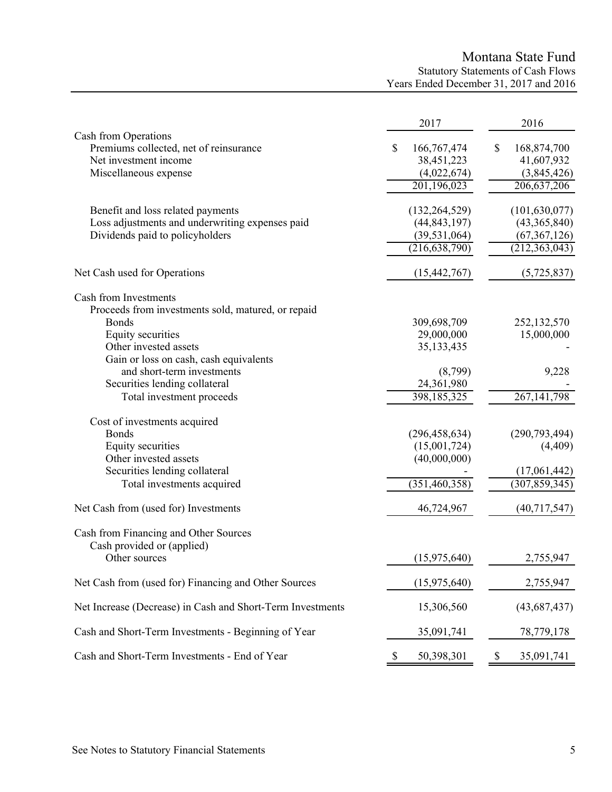# Montana State Fund Statutory Statements of Cash Flows Years Ended December 31, 2017 and 2016

|                                                                                                                                                                                                                                                                                                                                                                                                                | 2017                                                                                                                               | 2016                                                                              |
|----------------------------------------------------------------------------------------------------------------------------------------------------------------------------------------------------------------------------------------------------------------------------------------------------------------------------------------------------------------------------------------------------------------|------------------------------------------------------------------------------------------------------------------------------------|-----------------------------------------------------------------------------------|
| Cash from Operations<br>Premiums collected, net of reinsurance<br>Net investment income<br>Miscellaneous expense                                                                                                                                                                                                                                                                                               | \$<br>166,767,474<br>38,451,223<br>(4,022,674)<br>201,196,023                                                                      | \$<br>168,874,700<br>41,607,932<br>(3,845,426)<br>206,637,206                     |
| Benefit and loss related payments<br>Loss adjustments and underwriting expenses paid<br>Dividends paid to policyholders                                                                                                                                                                                                                                                                                        | (132, 264, 529)<br>(44, 843, 197)<br>(39, 531, 064)<br>(216, 638, 790)                                                             | (101, 630, 077)<br>(43,365,840)<br>(67, 367, 126)<br>(212, 363, 043)              |
| Net Cash used for Operations                                                                                                                                                                                                                                                                                                                                                                                   | (15, 442, 767)                                                                                                                     | (5,725,837)                                                                       |
| Cash from Investments<br>Proceeds from investments sold, matured, or repaid<br><b>Bonds</b><br>Equity securities<br>Other invested assets<br>Gain or loss on cash, cash equivalents<br>and short-term investments<br>Securities lending collateral<br>Total investment proceeds<br>Cost of investments acquired<br><b>Bonds</b><br>Equity securities<br>Other invested assets<br>Securities lending collateral | 309,698,709<br>29,000,000<br>35,133,435<br>(8,799)<br>24,361,980<br>398,185,325<br>(296, 458, 634)<br>(15,001,724)<br>(40,000,000) | 252,132,570<br>15,000,000<br>9,228<br>267, 141, 798<br>(290, 793, 494)<br>(4,409) |
| Total investments acquired                                                                                                                                                                                                                                                                                                                                                                                     | (351, 460, 358)                                                                                                                    | (17,061,442)<br>(307, 859, 345)                                                   |
| Net Cash from (used for) Investments                                                                                                                                                                                                                                                                                                                                                                           | 46,724,967                                                                                                                         | (40,717,547)                                                                      |
| Cash from Financing and Other Sources<br>Cash provided or (applied)<br>Other sources                                                                                                                                                                                                                                                                                                                           | (15,975,640)                                                                                                                       | 2,755,947                                                                         |
| Net Cash from (used for) Financing and Other Sources                                                                                                                                                                                                                                                                                                                                                           | (15,975,640)                                                                                                                       | 2,755,947                                                                         |
| Net Increase (Decrease) in Cash and Short-Term Investments                                                                                                                                                                                                                                                                                                                                                     | 15,306,560                                                                                                                         | (43,687,437)                                                                      |
| Cash and Short-Term Investments - Beginning of Year                                                                                                                                                                                                                                                                                                                                                            | 35,091,741                                                                                                                         | 78,779,178                                                                        |
| Cash and Short-Term Investments - End of Year                                                                                                                                                                                                                                                                                                                                                                  | \$<br>50,398,301                                                                                                                   | \$<br>35,091,741                                                                  |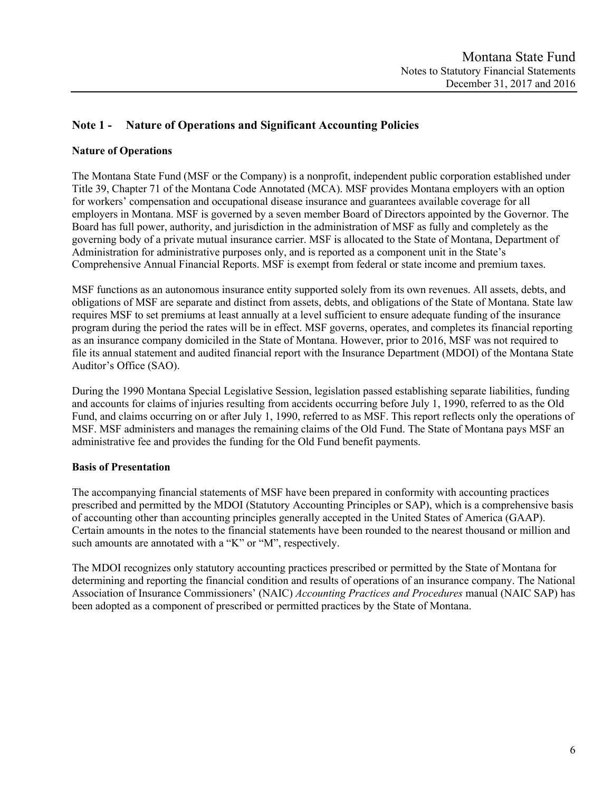# **Note 1 - Nature of Operations and Significant Accounting Policies**

## **Nature of Operations**

The Montana State Fund (MSF or the Company) is a nonprofit, independent public corporation established under Title 39, Chapter 71 of the Montana Code Annotated (MCA). MSF provides Montana employers with an option for workers' compensation and occupational disease insurance and guarantees available coverage for all employers in Montana. MSF is governed by a seven member Board of Directors appointed by the Governor. The Board has full power, authority, and jurisdiction in the administration of MSF as fully and completely as the governing body of a private mutual insurance carrier. MSF is allocated to the State of Montana, Department of Administration for administrative purposes only, and is reported as a component unit in the State's Comprehensive Annual Financial Reports. MSF is exempt from federal or state income and premium taxes.

MSF functions as an autonomous insurance entity supported solely from its own revenues. All assets, debts, and obligations of MSF are separate and distinct from assets, debts, and obligations of the State of Montana. State law requires MSF to set premiums at least annually at a level sufficient to ensure adequate funding of the insurance program during the period the rates will be in effect. MSF governs, operates, and completes its financial reporting as an insurance company domiciled in the State of Montana. However, prior to 2016, MSF was not required to file its annual statement and audited financial report with the Insurance Department (MDOI) of the Montana State Auditor's Office (SAO).

During the 1990 Montana Special Legislative Session, legislation passed establishing separate liabilities, funding and accounts for claims of injuries resulting from accidents occurring before July 1, 1990, referred to as the Old Fund, and claims occurring on or after July 1, 1990, referred to as MSF. This report reflects only the operations of MSF. MSF administers and manages the remaining claims of the Old Fund. The State of Montana pays MSF an administrative fee and provides the funding for the Old Fund benefit payments.

## **Basis of Presentation**

The accompanying financial statements of MSF have been prepared in conformity with accounting practices prescribed and permitted by the MDOI (Statutory Accounting Principles or SAP), which is a comprehensive basis of accounting other than accounting principles generally accepted in the United States of America (GAAP). Certain amounts in the notes to the financial statements have been rounded to the nearest thousand or million and such amounts are annotated with a "K" or "M", respectively.

The MDOI recognizes only statutory accounting practices prescribed or permitted by the State of Montana for determining and reporting the financial condition and results of operations of an insurance company. The National Association of Insurance Commissioners' (NAIC) *Accounting Practices and Procedures* manual (NAIC SAP) has been adopted as a component of prescribed or permitted practices by the State of Montana.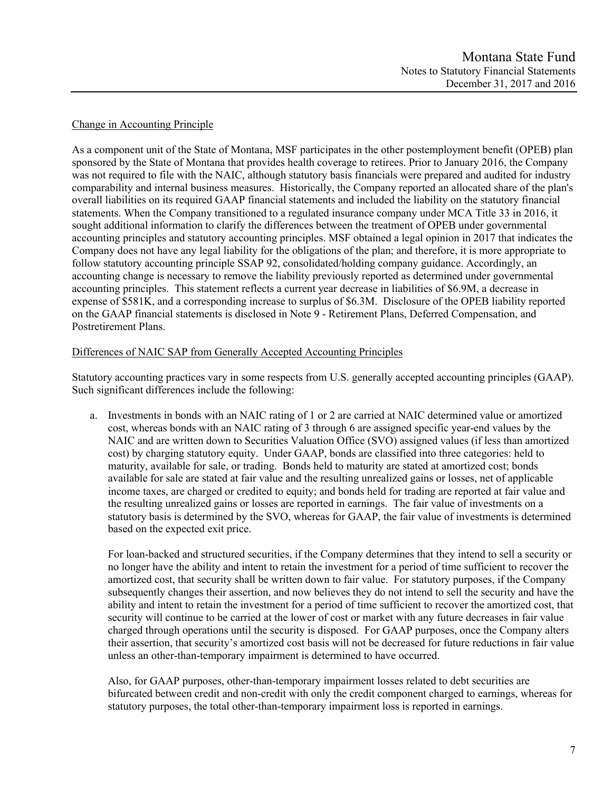## Change in Accounting Principle

As a component unit of the State of Montana, MSF participates in the other postemployment benefit (OPEB) plan sponsored by the State of Montana that provides health coverage to retirees. Prior to January 2016, the Company was not required to file with the NAIC, although statutory basis financials were prepared and audited for industry comparability and internal business measures. Historically, the Company reported an allocated share of the plan's overall liabilities on its required GAAP financial statements and included the liability on the statutory financial statements. When the Company transitioned to a regulated insurance company under MCA Title 33 in 2016, it sought additional information to clarify the differences between the treatment of OPEB under governmental accounting principles and statutory accounting principles. MSF obtained a legal opinion in 2017 that indicates the Company does not have any legal liability for the obligations of the plan; and therefore, it is more appropriate to follow statutory accounting principle SSAP 92, consolidated/holding company guidance. Accordingly, an accounting change is necessary to remove the liability previously reported as determined under governmental accounting principles. This statement reflects a current year decrease in liabilities of \$6.9M, a decrease in expense of \$581K, and a corresponding increase to surplus of \$6.3M. Disclosure of the OPEB liability reported on the GAAP financial statements is disclosed in Note 9 - Retirement Plans, Deferred Compensation, and Postretirement Plans.

## Differences of NAIC SAP from Generally Accepted Accounting Principles

Statutory accounting practices vary in some respects from U.S. generally accepted accounting principles (GAAP). Such significant differences include the following:

a. Investments in bonds with an NAIC rating of 1 or 2 are carried at NAIC determined value or amortized cost, whereas bonds with an NAIC rating of 3 through 6 are assigned specific year-end values by the NAIC and are written down to Securities Valuation Office (SVO) assigned values (if less than amortized cost) by charging statutory equity. Under GAAP, bonds are classified into three categories: held to maturity, available for sale, or trading. Bonds held to maturity are stated at amortized cost; bonds available for sale are stated at fair value and the resulting unrealized gains or losses, net of applicable income taxes, are charged or credited to equity; and bonds held for trading are reported at fair value and the resulting unrealized gains or losses are reported in earnings. The fair value of investments on a statutory basis is determined by the SVO, whereas for GAAP, the fair value of investments is determined based on the expected exit price.

For loan-backed and structured securities, if the Company determines that they intend to sell a security or no longer have the ability and intent to retain the investment for a period of time sufficient to recover the amortized cost, that security shall be written down to fair value. For statutory purposes, if the Company subsequently changes their assertion, and now believes they do not intend to sell the security and have the ability and intent to retain the investment for a period of time sufficient to recover the amortized cost, that security will continue to be carried at the lower of cost or market with any future decreases in fair value charged through operations until the security is disposed. For GAAP purposes, once the Company alters their assertion, that security's amortized cost basis will not be decreased for future reductions in fair value unless an other-than-temporary impairment is determined to have occurred.

Also, for GAAP purposes, other-than-temporary impairment losses related to debt securities are bifurcated between credit and non-credit with only the credit component charged to earnings, whereas for statutory purposes, the total other-than-temporary impairment loss is reported in earnings.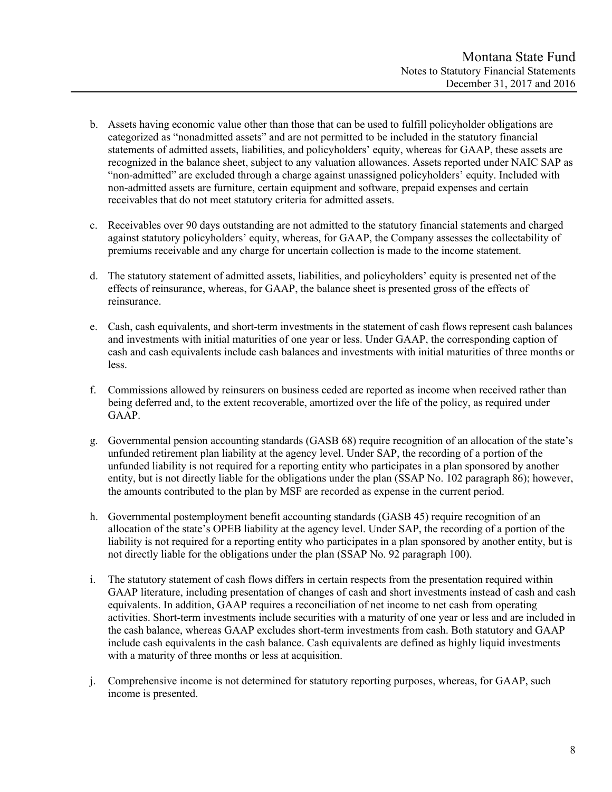- b. Assets having economic value other than those that can be used to fulfill policyholder obligations are categorized as "nonadmitted assets" and are not permitted to be included in the statutory financial statements of admitted assets, liabilities, and policyholders' equity, whereas for GAAP, these assets are recognized in the balance sheet, subject to any valuation allowances. Assets reported under NAIC SAP as "non-admitted" are excluded through a charge against unassigned policyholders' equity. Included with non-admitted assets are furniture, certain equipment and software, prepaid expenses and certain receivables that do not meet statutory criteria for admitted assets.
- c. Receivables over 90 days outstanding are not admitted to the statutory financial statements and charged against statutory policyholders' equity, whereas, for GAAP, the Company assesses the collectability of premiums receivable and any charge for uncertain collection is made to the income statement.
- d. The statutory statement of admitted assets, liabilities, and policyholders' equity is presented net of the effects of reinsurance, whereas, for GAAP, the balance sheet is presented gross of the effects of reinsurance.
- e. Cash, cash equivalents, and short-term investments in the statement of cash flows represent cash balances and investments with initial maturities of one year or less. Under GAAP, the corresponding caption of cash and cash equivalents include cash balances and investments with initial maturities of three months or less.
- f. Commissions allowed by reinsurers on business ceded are reported as income when received rather than being deferred and, to the extent recoverable, amortized over the life of the policy, as required under GAAP.
- g. Governmental pension accounting standards (GASB 68) require recognition of an allocation of the state's unfunded retirement plan liability at the agency level. Under SAP, the recording of a portion of the unfunded liability is not required for a reporting entity who participates in a plan sponsored by another entity, but is not directly liable for the obligations under the plan (SSAP No. 102 paragraph 86); however, the amounts contributed to the plan by MSF are recorded as expense in the current period.
- h. Governmental postemployment benefit accounting standards (GASB 45) require recognition of an allocation of the state's OPEB liability at the agency level. Under SAP, the recording of a portion of the liability is not required for a reporting entity who participates in a plan sponsored by another entity, but is not directly liable for the obligations under the plan (SSAP No. 92 paragraph 100).
- i. The statutory statement of cash flows differs in certain respects from the presentation required within GAAP literature, including presentation of changes of cash and short investments instead of cash and cash equivalents. In addition, GAAP requires a reconciliation of net income to net cash from operating activities. Short-term investments include securities with a maturity of one year or less and are included in the cash balance, whereas GAAP excludes short-term investments from cash. Both statutory and GAAP include cash equivalents in the cash balance. Cash equivalents are defined as highly liquid investments with a maturity of three months or less at acquisition.
- j. Comprehensive income is not determined for statutory reporting purposes, whereas, for GAAP, such income is presented.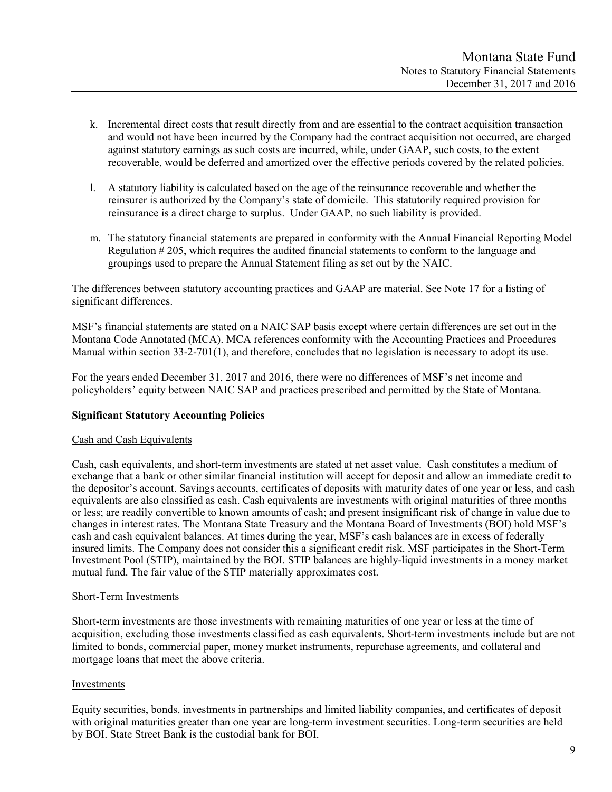- k. Incremental direct costs that result directly from and are essential to the contract acquisition transaction and would not have been incurred by the Company had the contract acquisition not occurred, are charged against statutory earnings as such costs are incurred, while, under GAAP, such costs, to the extent recoverable, would be deferred and amortized over the effective periods covered by the related policies.
- l. A statutory liability is calculated based on the age of the reinsurance recoverable and whether the reinsurer is authorized by the Company's state of domicile. This statutorily required provision for reinsurance is a direct charge to surplus. Under GAAP, no such liability is provided.
- m. The statutory financial statements are prepared in conformity with the Annual Financial Reporting Model Regulation # 205, which requires the audited financial statements to conform to the language and groupings used to prepare the Annual Statement filing as set out by the NAIC.

The differences between statutory accounting practices and GAAP are material. See Note 17 for a listing of significant differences.

MSF's financial statements are stated on a NAIC SAP basis except where certain differences are set out in the Montana Code Annotated (MCA). MCA references conformity with the Accounting Practices and Procedures Manual within section 33-2-701(1), and therefore, concludes that no legislation is necessary to adopt its use.

For the years ended December 31, 2017 and 2016, there were no differences of MSF's net income and policyholders' equity between NAIC SAP and practices prescribed and permitted by the State of Montana.

## **Significant Statutory Accounting Policies**

## Cash and Cash Equivalents

Cash, cash equivalents, and short-term investments are stated at net asset value. Cash constitutes a medium of exchange that a bank or other similar financial institution will accept for deposit and allow an immediate credit to the depositor's account. Savings accounts, certificates of deposits with maturity dates of one year or less, and cash equivalents are also classified as cash. Cash equivalents are investments with original maturities of three months or less; are readily convertible to known amounts of cash; and present insignificant risk of change in value due to changes in interest rates. The Montana State Treasury and the Montana Board of Investments (BOI) hold MSF's cash and cash equivalent balances. At times during the year, MSF's cash balances are in excess of federally insured limits. The Company does not consider this a significant credit risk. MSF participates in the Short-Term Investment Pool (STIP), maintained by the BOI. STIP balances are highly-liquid investments in a money market mutual fund. The fair value of the STIP materially approximates cost.

## Short-Term Investments

Short-term investments are those investments with remaining maturities of one year or less at the time of acquisition, excluding those investments classified as cash equivalents. Short-term investments include but are not limited to bonds, commercial paper, money market instruments, repurchase agreements, and collateral and mortgage loans that meet the above criteria.

## Investments

Equity securities, bonds, investments in partnerships and limited liability companies, and certificates of deposit with original maturities greater than one year are long-term investment securities. Long-term securities are held by BOI. State Street Bank is the custodial bank for BOI.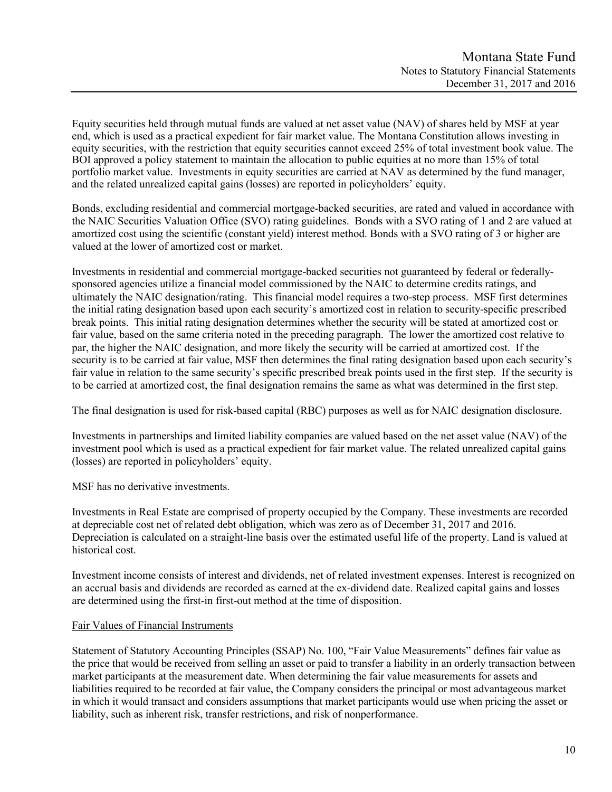Equity securities held through mutual funds are valued at net asset value (NAV) of shares held by MSF at year end, which is used as a practical expedient for fair market value. The Montana Constitution allows investing in equity securities, with the restriction that equity securities cannot exceed 25% of total investment book value. The BOI approved a policy statement to maintain the allocation to public equities at no more than 15% of total portfolio market value. Investments in equity securities are carried at NAV as determined by the fund manager, and the related unrealized capital gains (losses) are reported in policyholders' equity.

Bonds, excluding residential and commercial mortgage-backed securities, are rated and valued in accordance with the NAIC Securities Valuation Office (SVO) rating guidelines. Bonds with a SVO rating of 1 and 2 are valued at amortized cost using the scientific (constant yield) interest method. Bonds with a SVO rating of 3 or higher are valued at the lower of amortized cost or market.

Investments in residential and commercial mortgage-backed securities not guaranteed by federal or federallysponsored agencies utilize a financial model commissioned by the NAIC to determine credits ratings, and ultimately the NAIC designation/rating. This financial model requires a two-step process. MSF first determines the initial rating designation based upon each security's amortized cost in relation to security-specific prescribed break points. This initial rating designation determines whether the security will be stated at amortized cost or fair value, based on the same criteria noted in the preceding paragraph. The lower the amortized cost relative to par, the higher the NAIC designation, and more likely the security will be carried at amortized cost. If the security is to be carried at fair value, MSF then determines the final rating designation based upon each security's fair value in relation to the same security's specific prescribed break points used in the first step. If the security is to be carried at amortized cost, the final designation remains the same as what was determined in the first step.

The final designation is used for risk-based capital (RBC) purposes as well as for NAIC designation disclosure.

Investments in partnerships and limited liability companies are valued based on the net asset value (NAV) of the investment pool which is used as a practical expedient for fair market value. The related unrealized capital gains (losses) are reported in policyholders' equity.

MSF has no derivative investments.

Investments in Real Estate are comprised of property occupied by the Company. These investments are recorded at depreciable cost net of related debt obligation, which was zero as of December 31, 2017 and 2016. Depreciation is calculated on a straight-line basis over the estimated useful life of the property. Land is valued at historical cost.

Investment income consists of interest and dividends, net of related investment expenses. Interest is recognized on an accrual basis and dividends are recorded as earned at the ex-dividend date. Realized capital gains and losses are determined using the first-in first-out method at the time of disposition.

## Fair Values of Financial Instruments

Statement of Statutory Accounting Principles (SSAP) No. 100, "Fair Value Measurements" defines fair value as the price that would be received from selling an asset or paid to transfer a liability in an orderly transaction between market participants at the measurement date. When determining the fair value measurements for assets and liabilities required to be recorded at fair value, the Company considers the principal or most advantageous market in which it would transact and considers assumptions that market participants would use when pricing the asset or liability, such as inherent risk, transfer restrictions, and risk of nonperformance.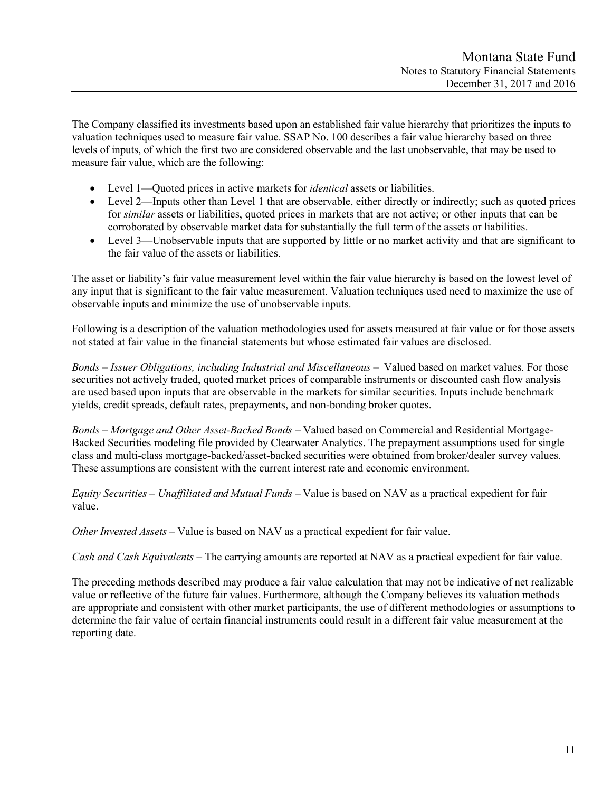The Company classified its investments based upon an established fair value hierarchy that prioritizes the inputs to valuation techniques used to measure fair value. SSAP No. 100 describes a fair value hierarchy based on three levels of inputs, of which the first two are considered observable and the last unobservable, that may be used to measure fair value, which are the following:

- Level 1—Quoted prices in active markets for *identical* assets or liabilities.
- Level 2—Inputs other than Level 1 that are observable, either directly or indirectly; such as quoted prices for *similar* assets or liabilities, quoted prices in markets that are not active; or other inputs that can be corroborated by observable market data for substantially the full term of the assets or liabilities.
- Level 3—Unobservable inputs that are supported by little or no market activity and that are significant to the fair value of the assets or liabilities.

The asset or liability's fair value measurement level within the fair value hierarchy is based on the lowest level of any input that is significant to the fair value measurement. Valuation techniques used need to maximize the use of observable inputs and minimize the use of unobservable inputs.

Following is a description of the valuation methodologies used for assets measured at fair value or for those assets not stated at fair value in the financial statements but whose estimated fair values are disclosed.

*Bonds – Issuer Obligations, including Industrial and Miscellaneous –* Valued based on market values. For those securities not actively traded, quoted market prices of comparable instruments or discounted cash flow analysis are used based upon inputs that are observable in the markets for similar securities. Inputs include benchmark yields, credit spreads, default rates, prepayments, and non-bonding broker quotes.

*Bonds – Mortgage and Other Asset-Backed Bonds –* Valued based on Commercial and Residential Mortgage-Backed Securities modeling file provided by Clearwater Analytics. The prepayment assumptions used for single class and multi-class mortgage-backed/asset-backed securities were obtained from broker/dealer survey values. These assumptions are consistent with the current interest rate and economic environment.

*Equity Securities – Unaffiliated and Mutual Funds –* Value is based on NAV as a practical expedient for fair value.

*Other Invested Assets –* Value is based on NAV as a practical expedient for fair value.

*Cash and Cash Equivalents –* The carrying amounts are reported at NAV as a practical expedient for fair value.

The preceding methods described may produce a fair value calculation that may not be indicative of net realizable value or reflective of the future fair values. Furthermore, although the Company believes its valuation methods are appropriate and consistent with other market participants, the use of different methodologies or assumptions to determine the fair value of certain financial instruments could result in a different fair value measurement at the reporting date.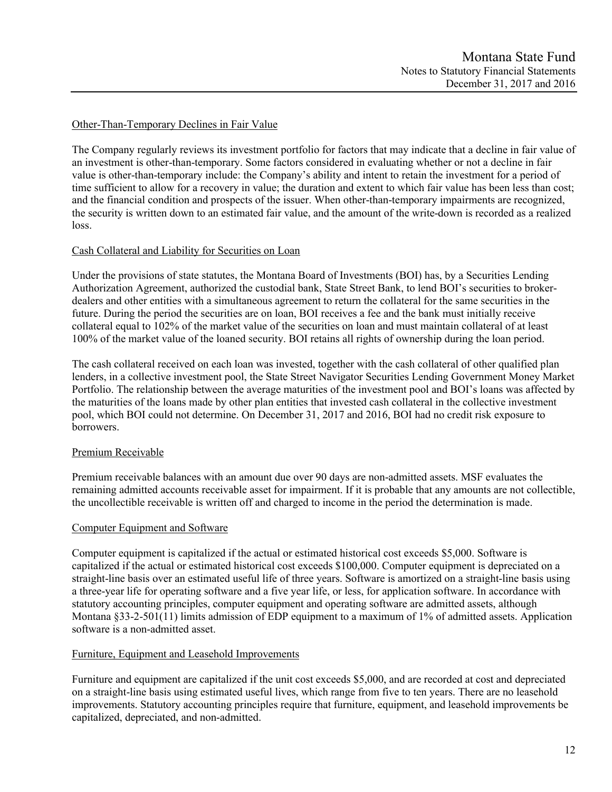## Other-Than-Temporary Declines in Fair Value

The Company regularly reviews its investment portfolio for factors that may indicate that a decline in fair value of an investment is other-than-temporary. Some factors considered in evaluating whether or not a decline in fair value is other-than-temporary include: the Company's ability and intent to retain the investment for a period of time sufficient to allow for a recovery in value; the duration and extent to which fair value has been less than cost; and the financial condition and prospects of the issuer. When other-than-temporary impairments are recognized, the security is written down to an estimated fair value, and the amount of the write-down is recorded as a realized loss.

## Cash Collateral and Liability for Securities on Loan

Under the provisions of state statutes, the Montana Board of Investments (BOI) has, by a Securities Lending Authorization Agreement, authorized the custodial bank, State Street Bank, to lend BOI's securities to brokerdealers and other entities with a simultaneous agreement to return the collateral for the same securities in the future. During the period the securities are on loan, BOI receives a fee and the bank must initially receive collateral equal to 102% of the market value of the securities on loan and must maintain collateral of at least 100% of the market value of the loaned security. BOI retains all rights of ownership during the loan period.

The cash collateral received on each loan was invested, together with the cash collateral of other qualified plan lenders, in a collective investment pool, the State Street Navigator Securities Lending Government Money Market Portfolio. The relationship between the average maturities of the investment pool and BOI's loans was affected by the maturities of the loans made by other plan entities that invested cash collateral in the collective investment pool, which BOI could not determine. On December 31, 2017 and 2016, BOI had no credit risk exposure to borrowers.

## Premium Receivable

Premium receivable balances with an amount due over 90 days are non-admitted assets. MSF evaluates the remaining admitted accounts receivable asset for impairment. If it is probable that any amounts are not collectible, the uncollectible receivable is written off and charged to income in the period the determination is made.

## Computer Equipment and Software

Computer equipment is capitalized if the actual or estimated historical cost exceeds \$5,000. Software is capitalized if the actual or estimated historical cost exceeds \$100,000. Computer equipment is depreciated on a straight-line basis over an estimated useful life of three years. Software is amortized on a straight-line basis using a three-year life for operating software and a five year life, or less, for application software. In accordance with statutory accounting principles, computer equipment and operating software are admitted assets, although Montana §33-2-501(11) limits admission of EDP equipment to a maximum of 1% of admitted assets. Application software is a non-admitted asset.

## Furniture, Equipment and Leasehold Improvements

Furniture and equipment are capitalized if the unit cost exceeds \$5,000, and are recorded at cost and depreciated on a straight-line basis using estimated useful lives, which range from five to ten years. There are no leasehold improvements. Statutory accounting principles require that furniture, equipment, and leasehold improvements be capitalized, depreciated, and non-admitted.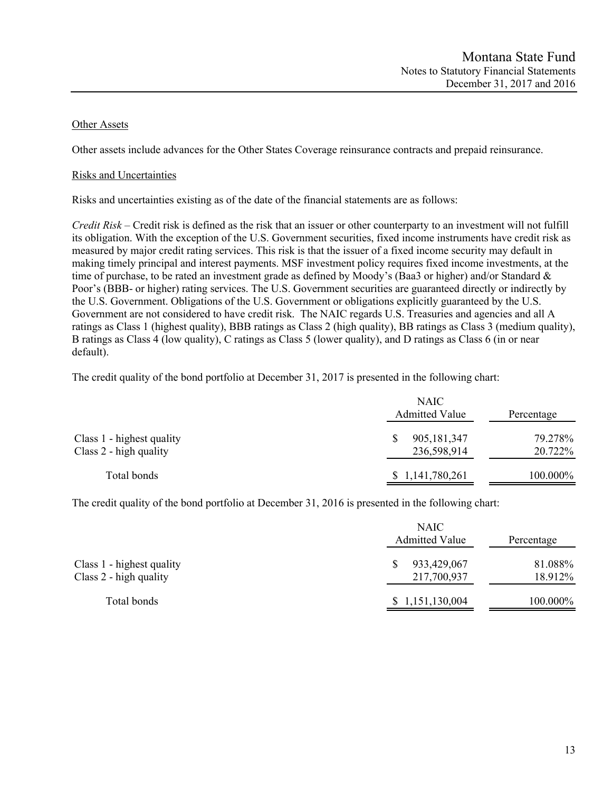## Other Assets

Other assets include advances for the Other States Coverage reinsurance contracts and prepaid reinsurance.

## Risks and Uncertainties

Risks and uncertainties existing as of the date of the financial statements are as follows:

*Credit Risk* – Credit risk is defined as the risk that an issuer or other counterparty to an investment will not fulfill its obligation. With the exception of the U.S. Government securities, fixed income instruments have credit risk as measured by major credit rating services. This risk is that the issuer of a fixed income security may default in making timely principal and interest payments. MSF investment policy requires fixed income investments, at the time of purchase, to be rated an investment grade as defined by Moody's (Baa3 or higher) and/or Standard & Poor's (BBB- or higher) rating services. The U.S. Government securities are guaranteed directly or indirectly by the U.S. Government. Obligations of the U.S. Government or obligations explicitly guaranteed by the U.S. Government are not considered to have credit risk. The NAIC regards U.S. Treasuries and agencies and all A ratings as Class 1 (highest quality), BBB ratings as Class 2 (high quality), BB ratings as Class 3 (medium quality), B ratings as Class 4 (low quality), C ratings as Class 5 (lower quality), and D ratings as Class 6 (in or near default).

The credit quality of the bond portfolio at December 31, 2017 is presented in the following chart:

| Class 1 - highest quality<br>Class 2 - high quality | <b>NAIC</b><br><b>Admitted Value</b> | Percentage         |
|-----------------------------------------------------|--------------------------------------|--------------------|
|                                                     | 905,181,347<br>236,598,914           | 79.278%<br>20.722% |
| Total bonds                                         | \$1,141,780,261                      | 100.000%           |

The credit quality of the bond portfolio at December 31, 2016 is presented in the following chart:

|                                                     | <b>NAIC</b><br><b>Admitted Value</b> | Percentage         |
|-----------------------------------------------------|--------------------------------------|--------------------|
| Class 1 - highest quality<br>Class 2 - high quality | 933,429,067<br>217,700,937           | 81.088%<br>18.912% |
| Total bonds                                         | \$1,151,130,004                      | 100.000%           |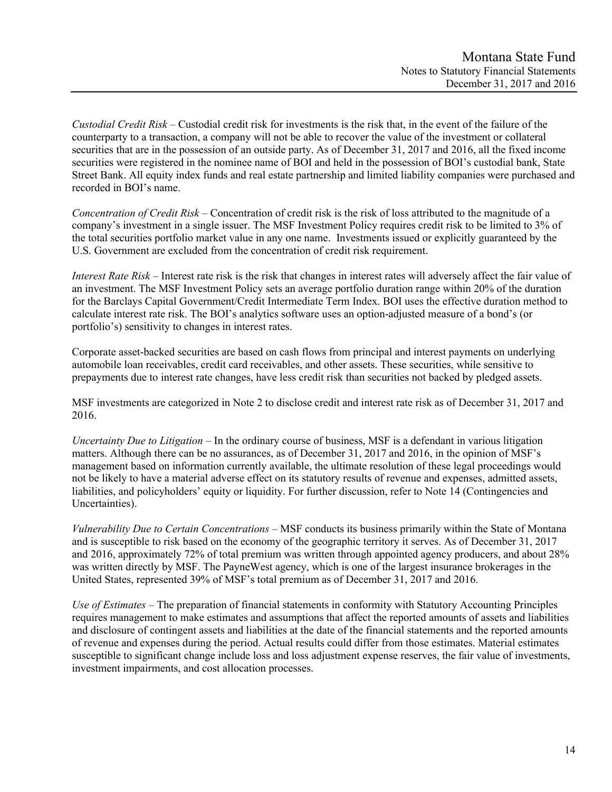*Custodial Credit Risk* – Custodial credit risk for investments is the risk that, in the event of the failure of the counterparty to a transaction, a company will not be able to recover the value of the investment or collateral securities that are in the possession of an outside party. As of December 31, 2017 and 2016, all the fixed income securities were registered in the nominee name of BOI and held in the possession of BOI's custodial bank, State Street Bank. All equity index funds and real estate partnership and limited liability companies were purchased and recorded in BOI's name.

*Concentration of Credit Risk* – Concentration of credit risk is the risk of loss attributed to the magnitude of a company's investment in a single issuer. The MSF Investment Policy requires credit risk to be limited to 3% of the total securities portfolio market value in any one name. Investments issued or explicitly guaranteed by the U.S. Government are excluded from the concentration of credit risk requirement.

*Interest Rate Risk* – Interest rate risk is the risk that changes in interest rates will adversely affect the fair value of an investment. The MSF Investment Policy sets an average portfolio duration range within 20% of the duration for the Barclays Capital Government/Credit Intermediate Term Index. BOI uses the effective duration method to calculate interest rate risk. The BOI's analytics software uses an option-adjusted measure of a bond's (or portfolio's) sensitivity to changes in interest rates.

Corporate asset-backed securities are based on cash flows from principal and interest payments on underlying automobile loan receivables, credit card receivables, and other assets. These securities, while sensitive to prepayments due to interest rate changes, have less credit risk than securities not backed by pledged assets.

MSF investments are categorized in Note 2 to disclose credit and interest rate risk as of December 31, 2017 and 2016.

*Uncertainty Due to Litigation* – In the ordinary course of business, MSF is a defendant in various litigation matters. Although there can be no assurances, as of December 31, 2017 and 2016, in the opinion of MSF's management based on information currently available, the ultimate resolution of these legal proceedings would not be likely to have a material adverse effect on its statutory results of revenue and expenses, admitted assets, liabilities, and policyholders' equity or liquidity. For further discussion, refer to Note 14 (Contingencies and Uncertainties).

*Vulnerability Due to Certain Concentrations* – MSF conducts its business primarily within the State of Montana and is susceptible to risk based on the economy of the geographic territory it serves. As of December 31, 2017 and 2016, approximately 72% of total premium was written through appointed agency producers, and about 28% was written directly by MSF. The PayneWest agency, which is one of the largest insurance brokerages in the United States, represented 39% of MSF's total premium as of December 31, 2017 and 2016.

*Use of Estimates –* The preparation of financial statements in conformity with Statutory Accounting Principles requires management to make estimates and assumptions that affect the reported amounts of assets and liabilities and disclosure of contingent assets and liabilities at the date of the financial statements and the reported amounts of revenue and expenses during the period. Actual results could differ from those estimates. Material estimates susceptible to significant change include loss and loss adjustment expense reserves, the fair value of investments, investment impairments, and cost allocation processes.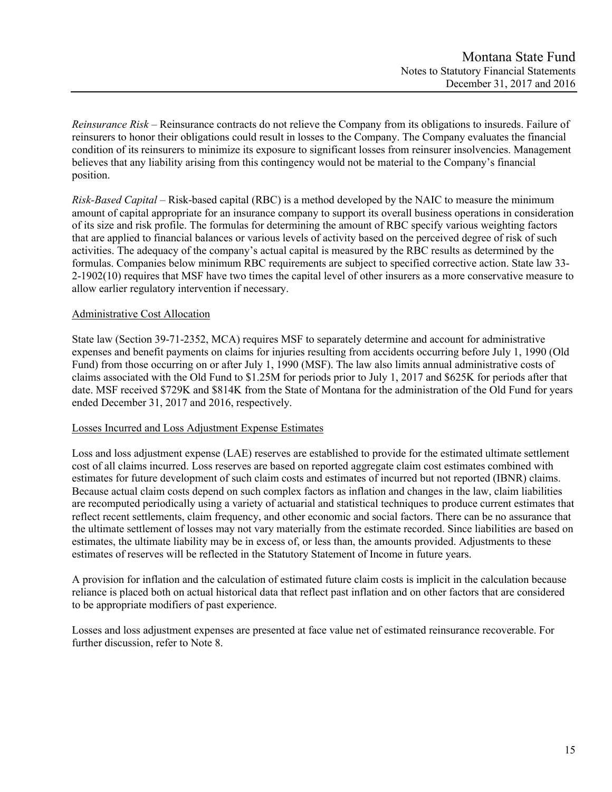*Reinsurance Risk –* Reinsurance contracts do not relieve the Company from its obligations to insureds. Failure of reinsurers to honor their obligations could result in losses to the Company. The Company evaluates the financial condition of its reinsurers to minimize its exposure to significant losses from reinsurer insolvencies. Management believes that any liability arising from this contingency would not be material to the Company's financial position.

*Risk-Based Capital* – Risk-based capital (RBC) is a method developed by the NAIC to measure the minimum amount of capital appropriate for an insurance company to support its overall business operations in consideration of its size and risk profile. The formulas for determining the amount of RBC specify various weighting factors that are applied to financial balances or various levels of activity based on the perceived degree of risk of such activities. The adequacy of the company's actual capital is measured by the RBC results as determined by the formulas. Companies below minimum RBC requirements are subject to specified corrective action. State law 33- 2-1902(10) requires that MSF have two times the capital level of other insurers as a more conservative measure to allow earlier regulatory intervention if necessary.

## Administrative Cost Allocation

State law (Section 39-71-2352, MCA) requires MSF to separately determine and account for administrative expenses and benefit payments on claims for injuries resulting from accidents occurring before July 1, 1990 (Old Fund) from those occurring on or after July 1, 1990 (MSF). The law also limits annual administrative costs of claims associated with the Old Fund to \$1.25M for periods prior to July 1, 2017 and \$625K for periods after that date. MSF received \$729K and \$814K from the State of Montana for the administration of the Old Fund for years ended December 31, 2017 and 2016, respectively.

## Losses Incurred and Loss Adjustment Expense Estimates

Loss and loss adjustment expense (LAE) reserves are established to provide for the estimated ultimate settlement cost of all claims incurred. Loss reserves are based on reported aggregate claim cost estimates combined with estimates for future development of such claim costs and estimates of incurred but not reported (IBNR) claims. Because actual claim costs depend on such complex factors as inflation and changes in the law, claim liabilities are recomputed periodically using a variety of actuarial and statistical techniques to produce current estimates that reflect recent settlements, claim frequency, and other economic and social factors. There can be no assurance that the ultimate settlement of losses may not vary materially from the estimate recorded. Since liabilities are based on estimates, the ultimate liability may be in excess of, or less than, the amounts provided. Adjustments to these estimates of reserves will be reflected in the Statutory Statement of Income in future years.

A provision for inflation and the calculation of estimated future claim costs is implicit in the calculation because reliance is placed both on actual historical data that reflect past inflation and on other factors that are considered to be appropriate modifiers of past experience.

Losses and loss adjustment expenses are presented at face value net of estimated reinsurance recoverable. For further discussion, refer to Note 8.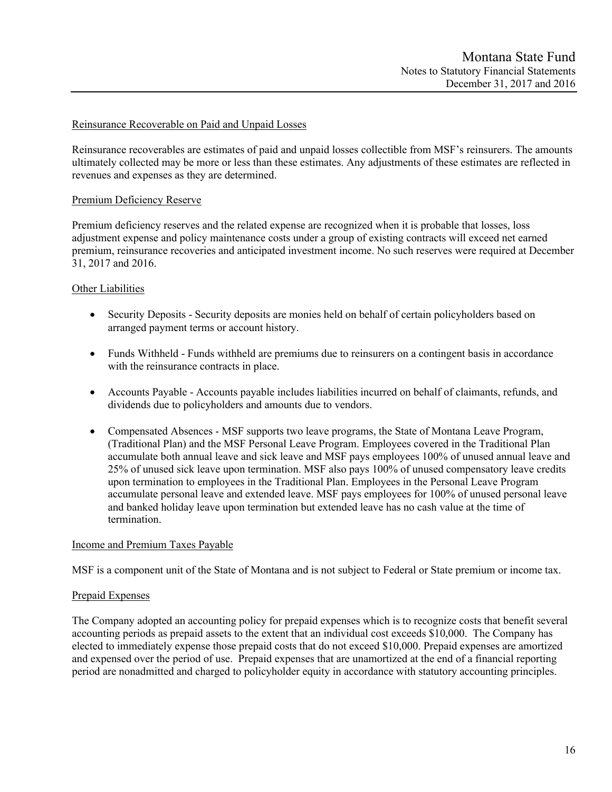## Reinsurance Recoverable on Paid and Unpaid Losses

Reinsurance recoverables are estimates of paid and unpaid losses collectible from MSF's reinsurers. The amounts ultimately collected may be more or less than these estimates. Any adjustments of these estimates are reflected in revenues and expenses as they are determined.

### Premium Deficiency Reserve

Premium deficiency reserves and the related expense are recognized when it is probable that losses, loss adjustment expense and policy maintenance costs under a group of existing contracts will exceed net earned premium, reinsurance recoveries and anticipated investment income. No such reserves were required at December 31, 2017 and 2016.

## Other Liabilities

- Security Deposits Security deposits are monies held on behalf of certain policyholders based on arranged payment terms or account history.
- Funds Withheld Funds withheld are premiums due to reinsurers on a contingent basis in accordance with the reinsurance contracts in place.
- Accounts Payable Accounts payable includes liabilities incurred on behalf of claimants, refunds, and dividends due to policyholders and amounts due to vendors.
- Compensated Absences MSF supports two leave programs, the State of Montana Leave Program, (Traditional Plan) and the MSF Personal Leave Program. Employees covered in the Traditional Plan accumulate both annual leave and sick leave and MSF pays employees 100% of unused annual leave and 25% of unused sick leave upon termination. MSF also pays 100% of unused compensatory leave credits upon termination to employees in the Traditional Plan. Employees in the Personal Leave Program accumulate personal leave and extended leave. MSF pays employees for 100% of unused personal leave and banked holiday leave upon termination but extended leave has no cash value at the time of termination.

#### Income and Premium Taxes Payable

MSF is a component unit of the State of Montana and is not subject to Federal or State premium or income tax.

#### Prepaid Expenses

The Company adopted an accounting policy for prepaid expenses which is to recognize costs that benefit several accounting periods as prepaid assets to the extent that an individual cost exceeds \$10,000. The Company has elected to immediately expense those prepaid costs that do not exceed \$10,000. Prepaid expenses are amortized and expensed over the period of use. Prepaid expenses that are unamortized at the end of a financial reporting period are nonadmitted and charged to policyholder equity in accordance with statutory accounting principles.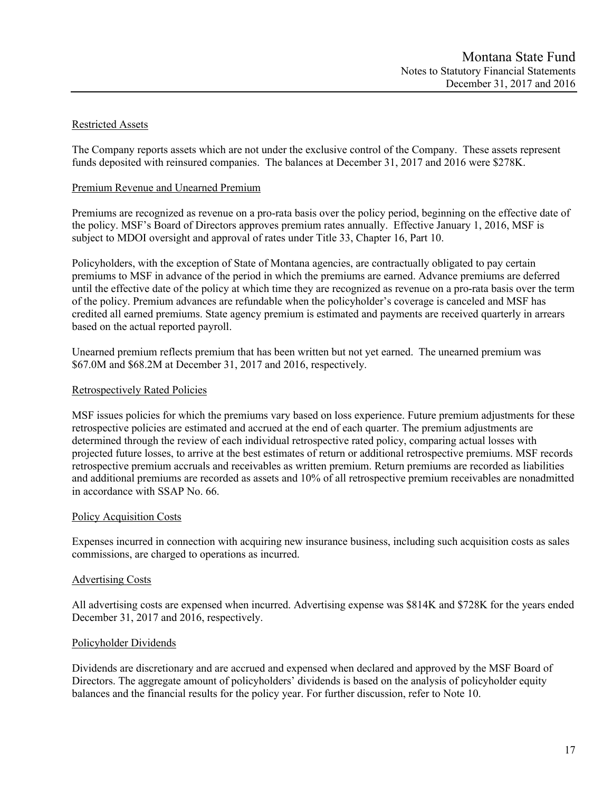## Restricted Assets

The Company reports assets which are not under the exclusive control of the Company. These assets represent funds deposited with reinsured companies. The balances at December 31, 2017 and 2016 were \$278K.

## Premium Revenue and Unearned Premium

Premiums are recognized as revenue on a pro-rata basis over the policy period, beginning on the effective date of the policy. MSF's Board of Directors approves premium rates annually. Effective January 1, 2016, MSF is subject to MDOI oversight and approval of rates under Title 33, Chapter 16, Part 10.

Policyholders, with the exception of State of Montana agencies, are contractually obligated to pay certain premiums to MSF in advance of the period in which the premiums are earned. Advance premiums are deferred until the effective date of the policy at which time they are recognized as revenue on a pro-rata basis over the term of the policy. Premium advances are refundable when the policyholder's coverage is canceled and MSF has credited all earned premiums. State agency premium is estimated and payments are received quarterly in arrears based on the actual reported payroll.

Unearned premium reflects premium that has been written but not yet earned. The unearned premium was \$67.0M and \$68.2M at December 31, 2017 and 2016, respectively.

## Retrospectively Rated Policies

MSF issues policies for which the premiums vary based on loss experience. Future premium adjustments for these retrospective policies are estimated and accrued at the end of each quarter. The premium adjustments are determined through the review of each individual retrospective rated policy, comparing actual losses with projected future losses, to arrive at the best estimates of return or additional retrospective premiums. MSF records retrospective premium accruals and receivables as written premium. Return premiums are recorded as liabilities and additional premiums are recorded as assets and 10% of all retrospective premium receivables are nonadmitted in accordance with SSAP No. 66.

## Policy Acquisition Costs

Expenses incurred in connection with acquiring new insurance business, including such acquisition costs as sales commissions, are charged to operations as incurred.

## Advertising Costs

All advertising costs are expensed when incurred. Advertising expense was \$814K and \$728K for the years ended December 31, 2017 and 2016, respectively.

## Policyholder Dividends

Dividends are discretionary and are accrued and expensed when declared and approved by the MSF Board of Directors. The aggregate amount of policyholders' dividends is based on the analysis of policyholder equity balances and the financial results for the policy year. For further discussion, refer to Note 10.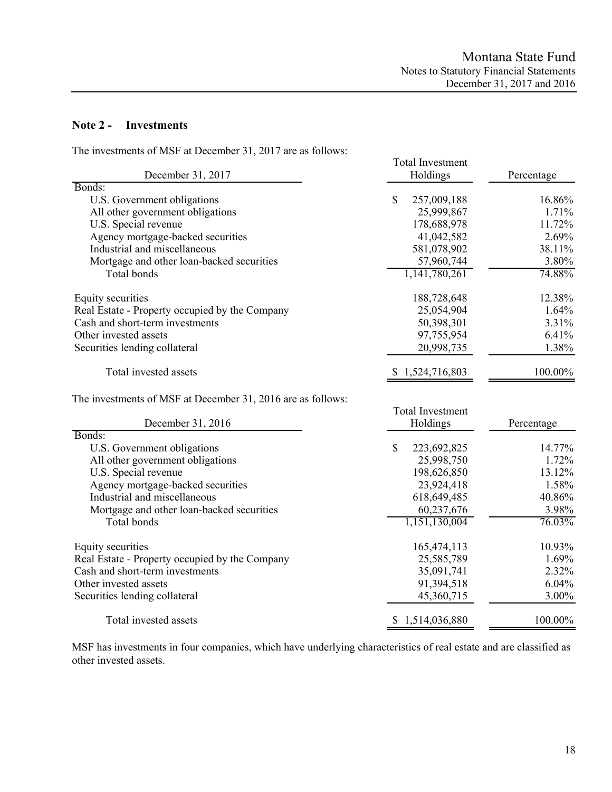## **Note 2 - Investments**

The investments of MSF at December 31, 2017 are as follows:

| December 31, 2017                                           | <b>Total Investment</b><br>Holdings | Percentage |  |  |
|-------------------------------------------------------------|-------------------------------------|------------|--|--|
| Bonds:                                                      |                                     |            |  |  |
| U.S. Government obligations                                 | $\mathbb{S}$<br>257,009,188         | 16.86%     |  |  |
| All other government obligations                            | 25,999,867                          | 1.71%      |  |  |
| U.S. Special revenue                                        | 178,688,978                         | 11.72%     |  |  |
| Agency mortgage-backed securities                           | 41,042,582                          | 2.69%      |  |  |
| Industrial and miscellaneous                                | 581,078,902                         | 38.11%     |  |  |
| Mortgage and other loan-backed securities                   | 57,960,744                          | 3.80%      |  |  |
| Total bonds                                                 | 1,141,780,261                       | 74.88%     |  |  |
| Equity securities                                           | 188,728,648                         | 12.38%     |  |  |
| Real Estate - Property occupied by the Company              | 25,054,904                          | 1.64%      |  |  |
| Cash and short-term investments                             | 50,398,301                          | 3.31%      |  |  |
| Other invested assets                                       | 97,755,954                          | 6.41%      |  |  |
| Securities lending collateral                               | 20,998,735                          | 1.38%      |  |  |
| Total invested assets                                       | 1,524,716,803                       | 100.00%    |  |  |
| The investments of MSF at December 31, 2016 are as follows: |                                     |            |  |  |
|                                                             | <b>Total Investment</b>             |            |  |  |
| December 31, 2016                                           | Holdings                            | Percentage |  |  |
| Bonds:                                                      |                                     |            |  |  |
| U.S. Government obligations                                 | $\mathbb{S}$<br>223,692,825         | 14.77%     |  |  |
| All other government obligations                            | 25,998,750                          | 1.72%      |  |  |
| U.S. Special revenue                                        | 198,626,850                         | 13.12%     |  |  |
| Agency mortgage-backed securities                           | 23,924,418                          | 1.58%      |  |  |
| Industrial and miscellaneous                                | 618,649,485                         | 40.86%     |  |  |
| Mortgage and other loan-backed securities                   | 60,237,676                          | 3.98%      |  |  |
| Total bonds                                                 | 1,151,130,004                       | 76.03%     |  |  |

| Equity securities                              | 165,474,113     | 10.93%   |
|------------------------------------------------|-----------------|----------|
| Real Estate - Property occupied by the Company | 25,585,789      | 1.69%    |
| Cash and short-term investments                | 35,091,741      | 2.32%    |
| Other invested assets                          | 91,394,518      | 6.04%    |
| Securities lending collateral                  | 45,360,715      | $3.00\%$ |
| Total invested assets                          | \$1,514,036,880 | 100.00%  |

MSF has investments in four companies, which have underlying characteristics of real estate and are classified as other invested assets.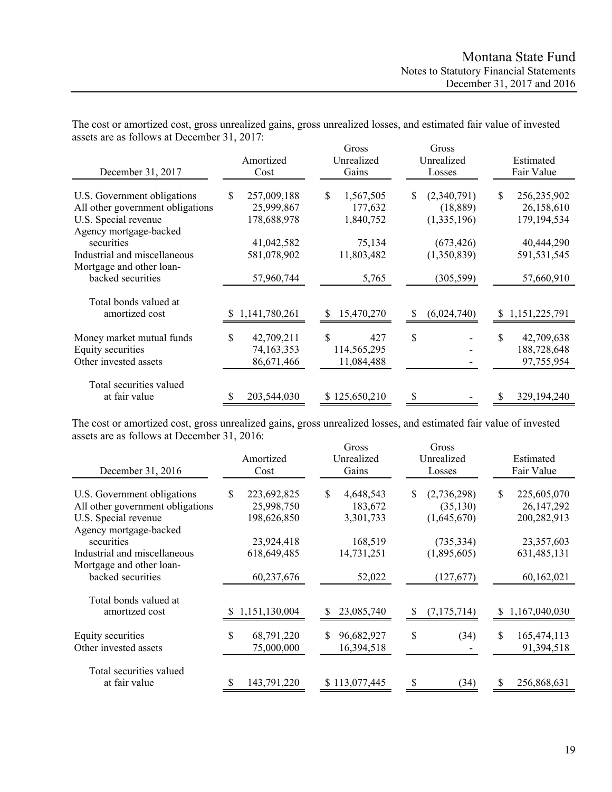| December 31, 2017                                                                                                 | Amortized<br>Cost                             | Gross<br>Unrealized<br>Gains           | Gross<br>Unrealized<br>Losses                | Estimated<br>Fair Value                           |  |  |
|-------------------------------------------------------------------------------------------------------------------|-----------------------------------------------|----------------------------------------|----------------------------------------------|---------------------------------------------------|--|--|
| U.S. Government obligations<br>All other government obligations<br>U.S. Special revenue<br>Agency mortgage-backed | 257,009,188<br>S<br>25,999,867<br>178,688,978 | S<br>1,567,505<br>177,632<br>1,840,752 | (2,340,791)<br>S<br>(18, 889)<br>(1,335,196) | 256,235,902<br>\$.<br>26,158,610<br>179, 194, 534 |  |  |
| securities<br>Industrial and miscellaneous<br>Mortgage and other loan-<br>backed securities                       | 41,042,582<br>581,078,902<br>57,960,744       | 75,134<br>11,803,482<br>5,765          | (673, 426)<br>(1,350,839)<br>(305, 599)      | 40,444,290<br>591,531,545<br>57,660,910           |  |  |
| Total bonds valued at<br>amortized cost                                                                           | 1,141,780,261<br>S.                           | 15,470,270                             | (6,024,740)<br>S                             | 1,151,225,791<br>S.                               |  |  |
| Money market mutual funds<br>Equity securities<br>Other invested assets                                           | \$<br>42,709,211<br>74,163,353<br>86,671,466  | S<br>427<br>114,565,295<br>11,084,488  | \$                                           | \$<br>42,709,638<br>188,728,648<br>97,755,954     |  |  |
| Total securities valued<br>at fair value                                                                          | 203,544,030                                   | \$125,650,210                          | \$                                           | 329,194,240                                       |  |  |

The cost or amortized cost, gross unrealized gains, gross unrealized losses, and estimated fair value of invested assets are as follows at December 31, 2017:

The cost or amortized cost, gross unrealized gains, gross unrealized losses, and estimated fair value of invested assets are as follows at December 31, 2016:

| December 31, 2016                                                                                                 | Amortized<br>Cost                              | Gross<br>Unrealized<br>Gains            | Gross<br>Unrealized<br>Losses                | Estimated<br>Fair Value                          |  |  |
|-------------------------------------------------------------------------------------------------------------------|------------------------------------------------|-----------------------------------------|----------------------------------------------|--------------------------------------------------|--|--|
| U.S. Government obligations<br>All other government obligations<br>U.S. Special revenue<br>Agency mortgage-backed | \$<br>223,692,825<br>25,998,750<br>198,626,850 | \$<br>4,648,543<br>183,672<br>3,301,733 | S<br>(2,736,298)<br>(35, 130)<br>(1,645,670) | \$<br>225,605,070<br>26, 147, 292<br>200,282,913 |  |  |
| securities<br>Industrial and miscellaneous<br>Mortgage and other loan-<br>backed securities                       | 23,924,418<br>618,649,485<br>60,237,676        | 168,519<br>14,731,251<br>52,022         | (735, 334)<br>(1,895,605)<br>(127,677)       | 23,357,603<br>631,485,131<br>60,162,021          |  |  |
| Total bonds valued at<br>amortized cost                                                                           | \$1,151,130,004                                | 23,085,740                              | (7, 175, 714)<br>S                           | 1,167,040,030<br>S                               |  |  |
| Equity securities<br>Other invested assets                                                                        | \$<br>68,791,220<br>75,000,000                 | \$<br>96,682,927<br>16,394,518          | \$<br>(34)                                   | \$<br>165,474,113<br>91,394,518                  |  |  |
| Total securities valued<br>at fair value                                                                          | 143,791,220                                    | \$113,077,445                           | (34)                                         | 256,868,631                                      |  |  |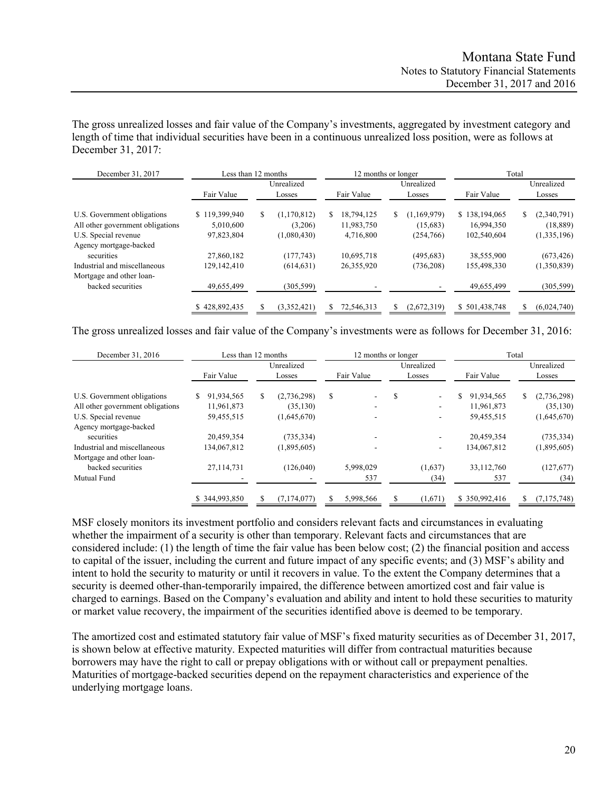The gross unrealized losses and fair value of the Company's investments, aggregated by investment category and length of time that individual securities have been in a continuous unrealized loss position, were as follows at December 31, 2017:

| December 31, 2017                | Less than 12 months |    |                      |   | 12 months or longer |    | Total                |                  |                      |             |
|----------------------------------|---------------------|----|----------------------|---|---------------------|----|----------------------|------------------|----------------------|-------------|
|                                  | Fair Value          |    | Unrealized<br>Losses |   | Fair Value          |    | Unrealized<br>Losses | Fair Value       | Unrealized<br>Losses |             |
| U.S. Government obligations      | \$119,399,940       | \$ | (1, 170, 812)        | S | 18.794.125          | S. | (1,169,979)          | \$138,194,065    | S.                   | (2,340,791) |
| All other government obligations | 5.010.600           |    | (3,206)              |   | 11,983,750          |    | (15,683)             | 16,994,350       |                      | (18, 889)   |
| U.S. Special revenue             | 97,823,804          |    | (1,080,430)          |   | 4,716,800           |    | (254,766)            | 102,540,604      |                      | (1,335,196) |
| Agency mortgage-backed           |                     |    |                      |   |                     |    |                      |                  |                      |             |
| securities                       | 27,860,182          |    | (177, 743)           |   | 10,695,718          |    | (495, 683)           | 38,555,900       |                      | (673, 426)  |
| Industrial and miscellaneous     | 129,142,410         |    | (614, 631)           |   | 26,355,920          |    | (736, 208)           | 155,498,330      |                      | (1,350,839) |
| Mortgage and other loan-         |                     |    |                      |   |                     |    |                      |                  |                      |             |
| backed securities                | 49,655,499          |    | (305, 599)           |   |                     |    |                      | 49,655,499       |                      | (305, 599)  |
|                                  | 428,892,435         |    | (3,352,421)          |   | 72,546,313          |    | (2,672,319)          | 501,438,748<br>S |                      | (6,024,740) |

The gross unrealized losses and fair value of the Company's investments were as follows for December 31, 2016:

| December 31, 2016                | Less than 12 months |   |             | Total<br>12 months or longer |            |    |                          |                  |            |               |
|----------------------------------|---------------------|---|-------------|------------------------------|------------|----|--------------------------|------------------|------------|---------------|
|                                  |                     |   | Unrealized  |                              |            |    | Unrealized               |                  | Unrealized |               |
|                                  | Fair Value          |   | Losses      |                              | Fair Value |    | Losses                   | Fair Value       |            | Losses        |
| U.S. Government obligations      | 91,934,565<br>S.    | S | (2,736,298) | \$                           | ۰          | S  | $\overline{\phantom{a}}$ | \$<br>91,934,565 | S          | (2,736,298)   |
| All other government obligations | 11.961.873          |   | (35, 130)   |                              |            |    |                          | 11.961.873       |            | (35, 130)     |
| U.S. Special revenue             | 59,455,515          |   | (1,645,670) |                              |            |    |                          | 59,455,515       |            | (1,645,670)   |
| Agency mortgage-backed           |                     |   |             |                              |            |    |                          |                  |            |               |
| securities                       | 20,459,354          |   | (735, 334)  |                              |            |    |                          | 20,459,354       |            | (735, 334)    |
| Industrial and miscellaneous     | 134,067,812         |   | (1,895,605) |                              |            |    |                          | 134,067,812      |            | (1,895,605)   |
| Mortgage and other loan-         |                     |   |             |                              |            |    |                          |                  |            |               |
| backed securities                | 27,114,731          |   | (126,040)   |                              | 5,998,029  |    | (1,637)                  | 33,112,760       |            | (127,677)     |
| Mutual Fund                      |                     |   |             |                              | 537        |    | (34)                     | 537              |            | (34)          |
|                                  | \$344,993,850       | S | (7,174,077) |                              | 5,998,566  | \$ | (1,671)                  | \$350,992,416    |            | (7, 175, 748) |

MSF closely monitors its investment portfolio and considers relevant facts and circumstances in evaluating whether the impairment of a security is other than temporary. Relevant facts and circumstances that are considered include: (1) the length of time the fair value has been below cost; (2) the financial position and access to capital of the issuer, including the current and future impact of any specific events; and (3) MSF's ability and intent to hold the security to maturity or until it recovers in value. To the extent the Company determines that a security is deemed other-than-temporarily impaired, the difference between amortized cost and fair value is charged to earnings. Based on the Company's evaluation and ability and intent to hold these securities to maturity or market value recovery, the impairment of the securities identified above is deemed to be temporary.

The amortized cost and estimated statutory fair value of MSF's fixed maturity securities as of December 31, 2017, is shown below at effective maturity. Expected maturities will differ from contractual maturities because borrowers may have the right to call or prepay obligations with or without call or prepayment penalties. Maturities of mortgage-backed securities depend on the repayment characteristics and experience of the underlying mortgage loans.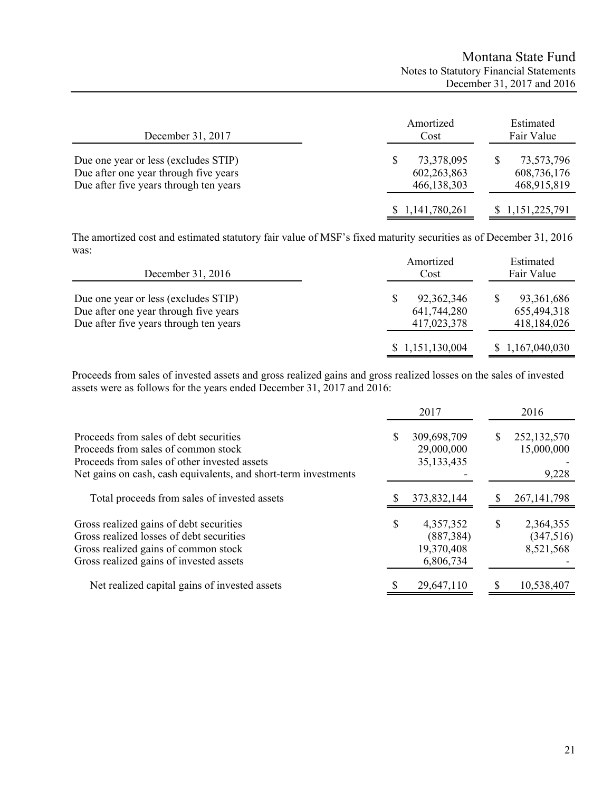| December 31, 2017                                                                                                       | Amortized<br>Cost                          | Estimated<br>Fair Value                  |
|-------------------------------------------------------------------------------------------------------------------------|--------------------------------------------|------------------------------------------|
| Due one year or less (excludes STIP)<br>Due after one year through five years<br>Due after five years through ten years | 73,378,095<br>602, 263, 863<br>466,138,303 | 73,573,796<br>608,736,176<br>468,915,819 |
|                                                                                                                         | \$1,141,780,261                            | \$1,151,225,791                          |

The amortized cost and estimated statutory fair value of MSF's fixed maturity securities as of December 31, 2016 was:

| December 31, 2016                                                                                                       | Amortized<br>Cost                        | Estimated<br>Fair Value                    |
|-------------------------------------------------------------------------------------------------------------------------|------------------------------------------|--------------------------------------------|
| Due one year or less (excludes STIP)<br>Due after one year through five years<br>Due after five years through ten years | 92,362,346<br>641,744,280<br>417,023,378 | 93, 361, 686<br>655,494,318<br>418,184,026 |
|                                                                                                                         | \$1,151,130,004                          | \$1,167,040,030                            |

Proceeds from sales of invested assets and gross realized gains and gross realized losses on the sales of invested assets were as follows for the years ended December 31, 2017 and 2016:

|                                                                                                                                                                        |    | 2017                                               | 2016                                      |
|------------------------------------------------------------------------------------------------------------------------------------------------------------------------|----|----------------------------------------------------|-------------------------------------------|
| Proceeds from sales of debt securities<br>Proceeds from sales of common stock<br>Proceeds from sales of other invested assets                                          | S  | 309,698,709<br>29,000,000<br>35, 133, 435          | 252,132,570<br>15,000,000                 |
| Net gains on cash, cash equivalents, and short-term investments                                                                                                        |    |                                                    | 9,228                                     |
| Total proceeds from sales of invested assets                                                                                                                           |    | 373,832,144                                        | 267, 141, 798                             |
| Gross realized gains of debt securities<br>Gross realized losses of debt securities<br>Gross realized gains of common stock<br>Gross realized gains of invested assets | \$ | 4,357,352<br>(887, 384)<br>19,370,408<br>6,806,734 | \$<br>2,364,355<br>(347,516)<br>8,521,568 |
| Net realized capital gains of invested assets                                                                                                                          | S  | 29,647,110                                         | 10,538,407                                |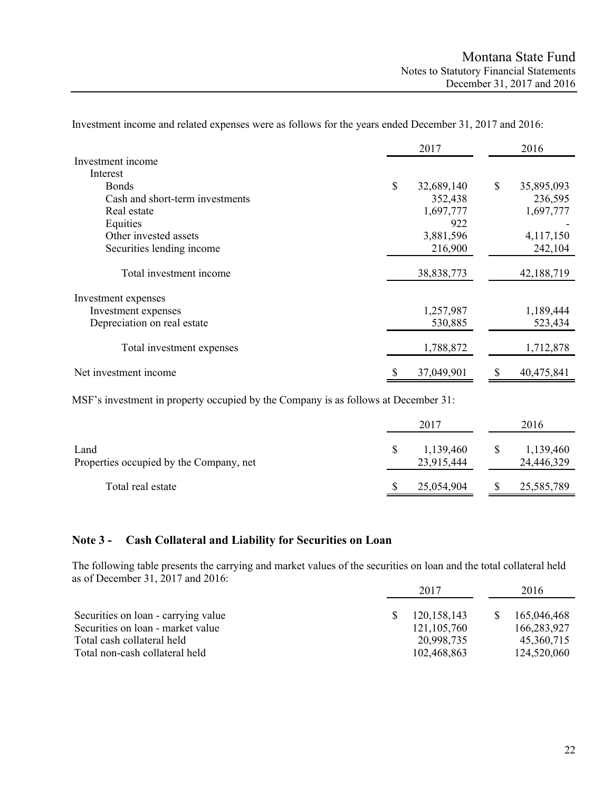|                                 |    | 2017       |    | 2016       |
|---------------------------------|----|------------|----|------------|
| Investment income               |    |            |    |            |
| Interest                        |    |            |    |            |
| <b>B</b> onds                   | \$ | 32,689,140 | \$ | 35,895,093 |
| Cash and short-term investments |    | 352,438    |    | 236,595    |
| Real estate                     |    | 1,697,777  |    | 1,697,777  |
| Equities                        |    | 922        |    |            |
| Other invested assets           |    | 3,881,596  |    | 4,117,150  |
| Securities lending income       |    | 216,900    |    | 242,104    |
| Total investment income         |    | 38,838,773 |    | 42,188,719 |
| Investment expenses             |    |            |    |            |
| Investment expenses             |    | 1,257,987  |    | 1,189,444  |
| Depreciation on real estate     |    | 530,885    |    | 523,434    |
| Total investment expenses       |    | 1,788,872  |    | 1,712,878  |
| Net investment income           | S  | 37,049,901 | S  | 40,475,841 |

Investment income and related expenses were as follows for the years ended December 31, 2017 and 2016:

MSF's investment in property occupied by the Company is as follows at December 31:

|                                                 | 2017                    | 2016                    |
|-------------------------------------------------|-------------------------|-------------------------|
| Land<br>Properties occupied by the Company, net | 1,139,460<br>23,915,444 | 1,139,460<br>24,446,329 |
| Total real estate                               | 25,054,904              | 25,585,789              |

## **Note 3 - Cash Collateral and Liability for Securities on Loan**

The following table presents the carrying and market values of the securities on loan and the total collateral held as of December 31, 2017 and 2016:

|                                     | 2017 |               | 2016        |
|-------------------------------------|------|---------------|-------------|
| Securities on loan - carrying value |      | 120, 158, 143 | 165,046,468 |
| Securities on loan - market value   |      | 121, 105, 760 | 166,283,927 |
| Total cash collateral held          |      | 20,998,735    | 45,360,715  |
| Total non-cash collateral held      |      | 102,468,863   | 124,520,060 |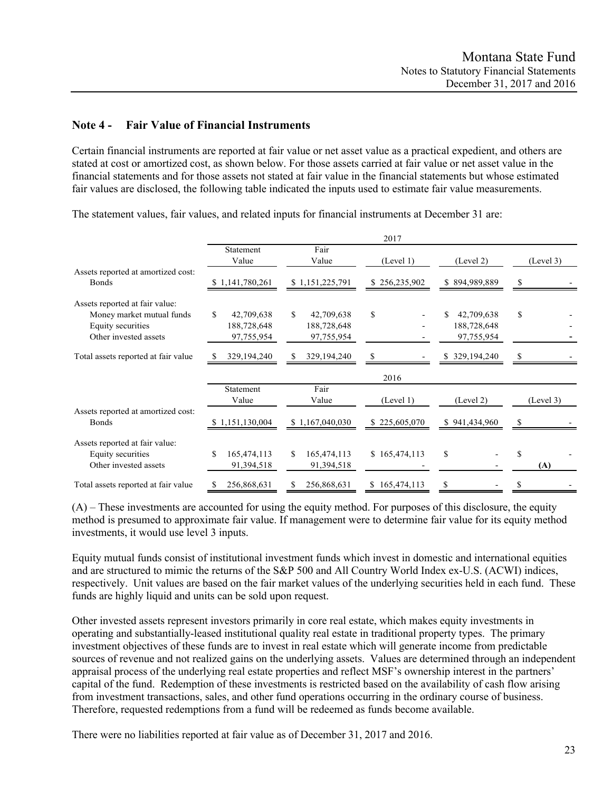## **Note 4 - Fair Value of Financial Instruments**

Certain financial instruments are reported at fair value or net asset value as a practical expedient, and others are stated at cost or amortized cost, as shown below. For those assets carried at fair value or net asset value in the financial statements and for those assets not stated at fair value in the financial statements but whose estimated fair values are disclosed, the following table indicated the inputs used to estimate fair value measurements.

Statement Fair Value Value (Level 1) (Level 2) (Level 3) Assets reported at amortized cost: Bonds \$ 1,141,780,261 \$ 1,151,225,791 \$ 256,235,902 \$ 894,989,889 \$ - Assets reported at fair value: Money market mutual funds  $\begin{array}{cccc} \text{S} & 42,709,638 & \text{S} & 42,709,638 & \text{S} & \text{S} & \text{S} & \text{S} & \text{S} & \text{S} & \text{S} & \text{S} & \text{S} & \text{S} & \text{S} & \text{S} & \text{S} & \text{S} & \text{S} & \text{S} & \text{S} & \text{S} & \text{S} & \text{S} & \text{S} & \text{S} & \text{S} & \text{S} & \text{S} & \text$ Equity securities 188,728,648 188,728,648 188,728,648 - 188,728,648 Other invested assets 97,755,954 97,755,954 - 97,755,954 **-** Total assets reported at fair value \$ 329,194,240 \$ 329,194,240 \$ - \$ 329,194,240 \$ 2017 Statement Fair Value Value (Level 1) (Level 2) (Level 3) Assets reported at amortized cost: Bonds 5 1,151,130,004 \$ 1,167,040,030 \$ 225,605,070 \$ 941,434,960 \$ Assets reported at fair value: Equity securities \$ 165,474,113 \$ 165,474,113 \$ 165,474,113 \$ - \$ Other invested assets 91,394,518 91,394,518 - - **(A)** Total assets reported at fair value  $$ 256,868,631 \quad $ 256,868,631 \quad $ 165,474,113 \quad $$ 2016

The statement values, fair values, and related inputs for financial instruments at December 31 are:

(A) – These investments are accounted for using the equity method. For purposes of this disclosure, the equity method is presumed to approximate fair value. If management were to determine fair value for its equity method investments, it would use level 3 inputs.

Equity mutual funds consist of institutional investment funds which invest in domestic and international equities and are structured to mimic the returns of the S&P 500 and All Country World Index ex-U.S. (ACWI) indices, respectively. Unit values are based on the fair market values of the underlying securities held in each fund. These funds are highly liquid and units can be sold upon request.

Other invested assets represent investors primarily in core real estate, which makes equity investments in operating and substantially-leased institutional quality real estate in traditional property types. The primary investment objectives of these funds are to invest in real estate which will generate income from predictable sources of revenue and not realized gains on the underlying assets. Values are determined through an independent appraisal process of the underlying real estate properties and reflect MSF's ownership interest in the partners' capital of the fund. Redemption of these investments is restricted based on the availability of cash flow arising from investment transactions, sales, and other fund operations occurring in the ordinary course of business. Therefore, requested redemptions from a fund will be redeemed as funds become available.

There were no liabilities reported at fair value as of December 31, 2017 and 2016.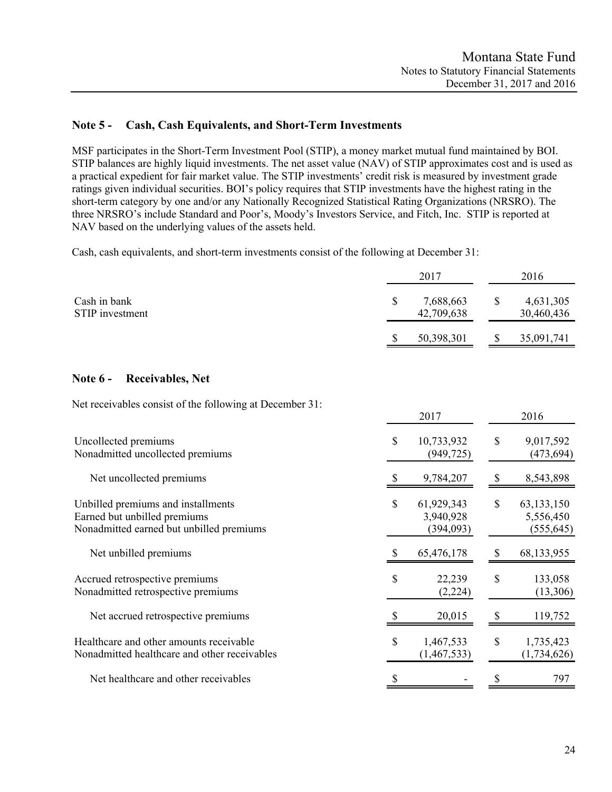# **Note 5 - Cash, Cash Equivalents, and Short-Term Investments**

MSF participates in the Short-Term Investment Pool (STIP), a money market mutual fund maintained by BOI. STIP balances are highly liquid investments. The net asset value (NAV) of STIP approximates cost and is used as a practical expedient for fair market value. The STIP investments' credit risk is measured by investment grade ratings given individual securities. BOI's policy requires that STIP investments have the highest rating in the short-term category by one and/or any Nationally Recognized Statistical Rating Organizations (NRSRO). The three NRSRO's include Standard and Poor's, Moody's Investors Service, and Fitch, Inc. STIP is reported at NAV based on the underlying values of the assets held.

Cash, cash equivalents, and short-term investments consist of the following at December 31:

|                                 | 2017                    |  | 2016                    |  |  |
|---------------------------------|-------------------------|--|-------------------------|--|--|
| Cash in bank<br>STIP investment | 7,688,663<br>42,709,638 |  | 4,631,305<br>30,460,436 |  |  |
|                                 | 50,398,301              |  | 35,091,741              |  |  |

## **Note 6 - Receivables, Net**

Net receivables consist of the following at December 31:

|                                                                                                                |    | 2017                                 |               | 2016                                  |
|----------------------------------------------------------------------------------------------------------------|----|--------------------------------------|---------------|---------------------------------------|
| Uncollected premiums<br>Nonadmitted uncollected premiums                                                       | S  | 10,733,932<br>(949, 725)             | <sup>\$</sup> | 9,017,592<br>(473, 694)               |
| Net uncollected premiums                                                                                       |    | 9,784,207                            |               | 8,543,898                             |
| Unbilled premiums and installments<br>Earned but unbilled premiums<br>Nonadmitted earned but unbilled premiums | \$ | 61,929,343<br>3,940,928<br>(394,093) | \$            | 63,133,150<br>5,556,450<br>(555, 645) |
| Net unbilled premiums                                                                                          |    | 65,476,178                           | -S            | 68, 133, 955                          |
| Accrued retrospective premiums<br>Nonadmitted retrospective premiums                                           | \$ | 22,239<br>(2,224)                    | S             | 133,058<br>(13,306)                   |
| Net accrued retrospective premiums                                                                             |    | 20,015                               |               | 119,752                               |
| Healthcare and other amounts receivable<br>Nonadmitted healthcare and other receivables                        | S  | 1,467,533<br>(1,467,533)             | \$.           | 1,735,423<br>(1,734,626)              |
| Net healthcare and other receivables                                                                           |    |                                      |               | 797                                   |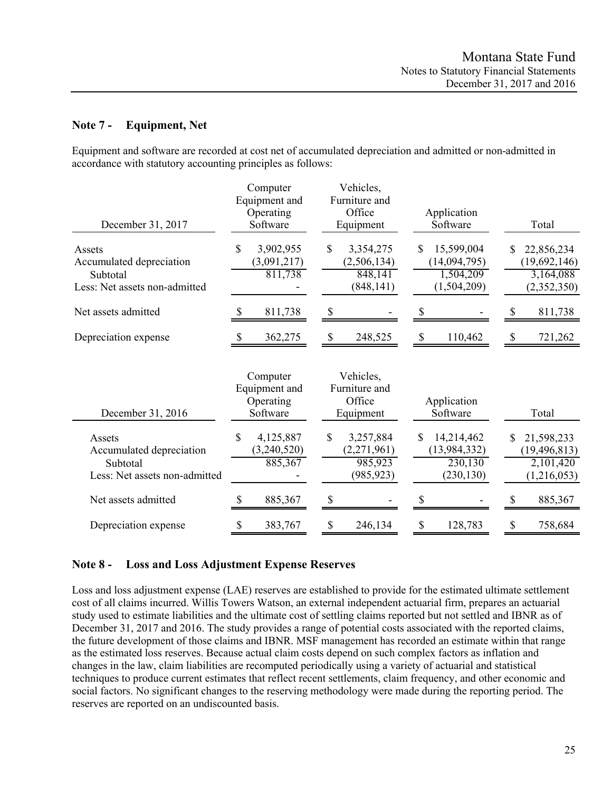## **Note 7 - Equipment, Net**

Equipment and software are recorded at cost net of accumulated depreciation and admitted or non-admitted in accordance with statutory accounting principles as follows:

| December 31, 2017                                                               | Computer<br>Equipment and<br>Operating<br>Software | Vehicles,<br>Furniture and<br>Office<br>Equipment       | Application<br>Software                                     | Total                                                           |
|---------------------------------------------------------------------------------|----------------------------------------------------|---------------------------------------------------------|-------------------------------------------------------------|-----------------------------------------------------------------|
| Assets<br>Accumulated depreciation<br>Subtotal<br>Less: Net assets non-admitted | \$<br>3,902,955<br>(3,091,217)<br>811,738          | \$<br>3,354,275<br>(2,506,134)<br>848,141<br>(848, 141) | 15,599,004<br>S<br>(14,094,795)<br>1,504,209<br>(1,504,209) | 22,856,234<br>S<br>(19,692,146)<br>3,164,088<br>(2,352,350)     |
| Net assets admitted                                                             | 811,738                                            | \$                                                      |                                                             | 811,738                                                         |
| Depreciation expense                                                            | 362,275<br>S                                       | $\mathcal{S}$<br>248,525                                | \$<br>110,462                                               | \$<br>721,262                                                   |
| December 31, 2016                                                               | Computer<br>Equipment and<br>Operating<br>Software | Vehicles,<br>Furniture and<br>Office<br>Equipment       | Application<br>Software                                     | Total                                                           |
| Assets<br>Accumulated depreciation<br>Subtotal<br>Less: Net assets non-admitted | \$<br>4,125,887<br>(3,240,520)<br>885,367          | \$<br>3,257,884<br>(2,271,961)<br>985,923<br>(985, 923) | 14,214,462<br>\$<br>(13, 984, 332)<br>230,130<br>(230, 130) | 21,598,233<br>\$.<br>(19, 496, 813)<br>2,101,420<br>(1,216,053) |
| Net assets admitted                                                             | 885,367<br>S                                       | \$                                                      |                                                             | 885,367                                                         |
| Depreciation expense                                                            | \$<br>383,767                                      | \$<br>246,134                                           | 128,783<br>\$                                               | 758,684<br>\$                                                   |

## **Note 8 - Loss and Loss Adjustment Expense Reserves**

Loss and loss adjustment expense (LAE) reserves are established to provide for the estimated ultimate settlement cost of all claims incurred. Willis Towers Watson, an external independent actuarial firm, prepares an actuarial study used to estimate liabilities and the ultimate cost of settling claims reported but not settled and IBNR as of December 31, 2017 and 2016. The study provides a range of potential costs associated with the reported claims, the future development of those claims and IBNR. MSF management has recorded an estimate within that range as the estimated loss reserves. Because actual claim costs depend on such complex factors as inflation and changes in the law, claim liabilities are recomputed periodically using a variety of actuarial and statistical techniques to produce current estimates that reflect recent settlements, claim frequency, and other economic and social factors. No significant changes to the reserving methodology were made during the reporting period. The reserves are reported on an undiscounted basis.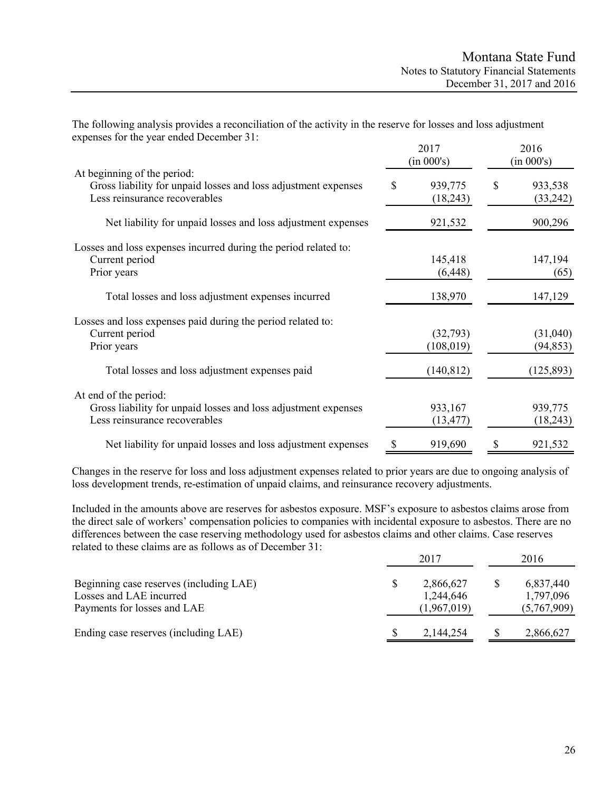| The following analysis provides a reconciliation of the activity in the reserve for losses and loss adjustment |  |  |
|----------------------------------------------------------------------------------------------------------------|--|--|
| expenses for the year ended December 31:                                                                       |  |  |

|                                                                                                                                |    | 2017<br>(in 000's)     |    | 2016<br>(in 000's)    |  |
|--------------------------------------------------------------------------------------------------------------------------------|----|------------------------|----|-----------------------|--|
| At beginning of the period:<br>Gross liability for unpaid losses and loss adjustment expenses<br>Less reinsurance recoverables | \$ | 939,775<br>(18,243)    | \$ | 933,538<br>(33,242)   |  |
| Net liability for unpaid losses and loss adjustment expenses                                                                   |    | 921,532                |    | 900,296               |  |
| Losses and loss expenses incurred during the period related to:<br>Current period<br>Prior years                               |    | 145,418<br>(6, 448)    |    | 147,194<br>(65)       |  |
| Total losses and loss adjustment expenses incurred                                                                             |    | 138,970                |    | 147,129               |  |
| Losses and loss expenses paid during the period related to:<br>Current period<br>Prior years                                   |    | (32,793)<br>(108, 019) |    | (31,040)<br>(94, 853) |  |
| Total losses and loss adjustment expenses paid                                                                                 |    | (140, 812)             |    | (125, 893)            |  |
| At end of the period:<br>Gross liability for unpaid losses and loss adjustment expenses<br>Less reinsurance recoverables       |    | 933,167<br>(13, 477)   |    | 939,775<br>(18,243)   |  |
| Net liability for unpaid losses and loss adjustment expenses                                                                   |    | 919,690                |    | 921,532               |  |

Changes in the reserve for loss and loss adjustment expenses related to prior years are due to ongoing analysis of loss development trends, re-estimation of unpaid claims, and reinsurance recovery adjustments.

Included in the amounts above are reserves for asbestos exposure. MSF's exposure to asbestos claims arose from the direct sale of workers' compensation policies to companies with incidental exposure to asbestos. There are no differences between the case reserving methodology used for asbestos claims and other claims. Case reserves related to these claims are as follows as of December 31:

|                                                                                                   | 2017 |                                       |  | 2016                                  |  |  |
|---------------------------------------------------------------------------------------------------|------|---------------------------------------|--|---------------------------------------|--|--|
| Beginning case reserves (including LAE)<br>Losses and LAE incurred<br>Payments for losses and LAE |      | 2,866,627<br>1,244,646<br>(1,967,019) |  | 6,837,440<br>1,797,096<br>(5,767,909) |  |  |
| Ending case reserves (including LAE)                                                              |      | 2,144,254                             |  | 2,866,627                             |  |  |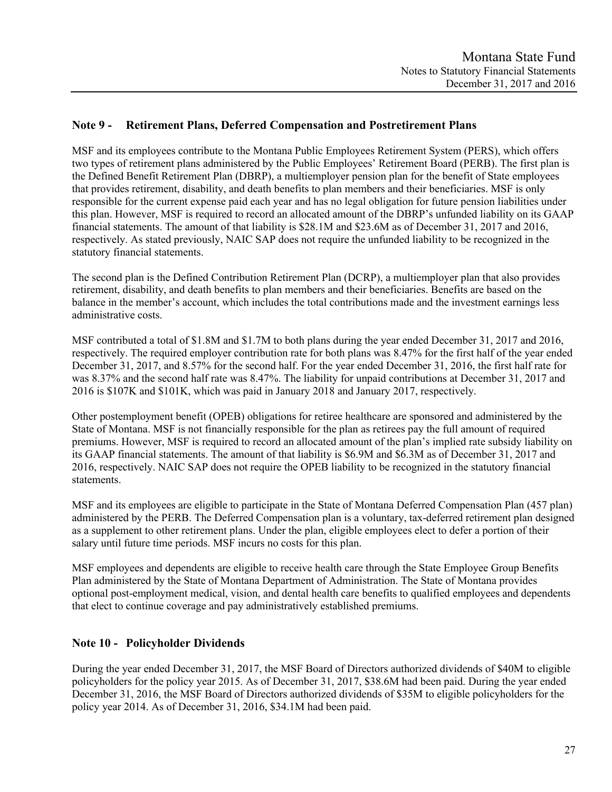## **Note 9 - Retirement Plans, Deferred Compensation and Postretirement Plans**

MSF and its employees contribute to the Montana Public Employees Retirement System (PERS), which offers two types of retirement plans administered by the Public Employees' Retirement Board (PERB). The first plan is the Defined Benefit Retirement Plan (DBRP), a multiemployer pension plan for the benefit of State employees that provides retirement, disability, and death benefits to plan members and their beneficiaries. MSF is only responsible for the current expense paid each year and has no legal obligation for future pension liabilities under this plan. However, MSF is required to record an allocated amount of the DBRP's unfunded liability on its GAAP financial statements. The amount of that liability is \$28.1M and \$23.6M as of December 31, 2017 and 2016, respectively. As stated previously, NAIC SAP does not require the unfunded liability to be recognized in the statutory financial statements.

The second plan is the Defined Contribution Retirement Plan (DCRP), a multiemployer plan that also provides retirement, disability, and death benefits to plan members and their beneficiaries. Benefits are based on the balance in the member's account, which includes the total contributions made and the investment earnings less administrative costs.

MSF contributed a total of \$1.8M and \$1.7M to both plans during the year ended December 31, 2017 and 2016, respectively. The required employer contribution rate for both plans was 8.47% for the first half of the year ended December 31, 2017, and 8.57% for the second half. For the year ended December 31, 2016, the first half rate for was 8.37% and the second half rate was 8.47%. The liability for unpaid contributions at December 31, 2017 and 2016 is \$107K and \$101K, which was paid in January 2018 and January 2017, respectively.

Other postemployment benefit (OPEB) obligations for retiree healthcare are sponsored and administered by the State of Montana. MSF is not financially responsible for the plan as retirees pay the full amount of required premiums. However, MSF is required to record an allocated amount of the plan's implied rate subsidy liability on its GAAP financial statements. The amount of that liability is \$6.9M and \$6.3M as of December 31, 2017 and 2016, respectively. NAIC SAP does not require the OPEB liability to be recognized in the statutory financial statements.

MSF and its employees are eligible to participate in the State of Montana Deferred Compensation Plan (457 plan) administered by the PERB. The Deferred Compensation plan is a voluntary, tax-deferred retirement plan designed as a supplement to other retirement plans. Under the plan, eligible employees elect to defer a portion of their salary until future time periods. MSF incurs no costs for this plan.

MSF employees and dependents are eligible to receive health care through the State Employee Group Benefits Plan administered by the State of Montana Department of Administration. The State of Montana provides optional post-employment medical, vision, and dental health care benefits to qualified employees and dependents that elect to continue coverage and pay administratively established premiums.

## **Note 10 - Policyholder Dividends**

During the year ended December 31, 2017, the MSF Board of Directors authorized dividends of \$40M to eligible policyholders for the policy year 2015. As of December 31, 2017, \$38.6M had been paid. During the year ended December 31, 2016, the MSF Board of Directors authorized dividends of \$35M to eligible policyholders for the policy year 2014. As of December 31, 2016, \$34.1M had been paid.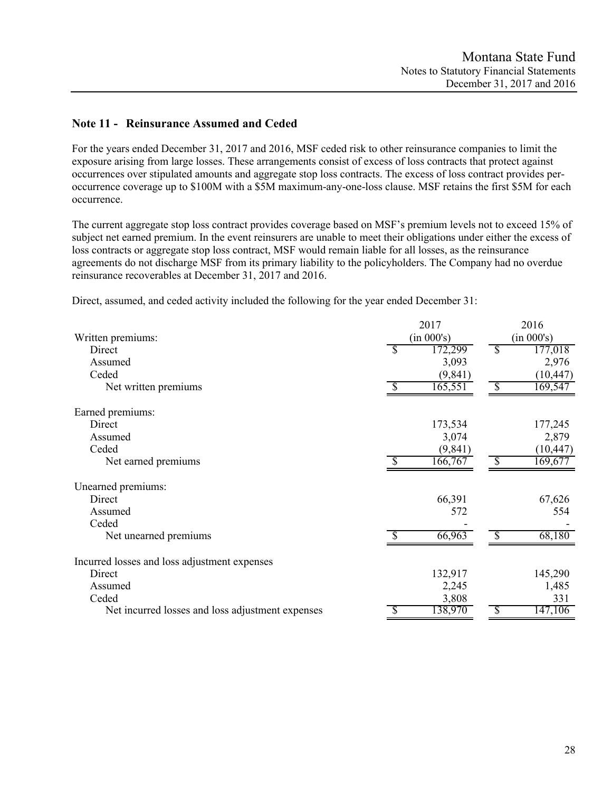# **Note 11 - Reinsurance Assumed and Ceded**

For the years ended December 31, 2017 and 2016, MSF ceded risk to other reinsurance companies to limit the exposure arising from large losses. These arrangements consist of excess of loss contracts that protect against occurrences over stipulated amounts and aggregate stop loss contracts. The excess of loss contract provides peroccurrence coverage up to \$100M with a \$5M maximum-any-one-loss clause. MSF retains the first \$5M for each occurrence.

The current aggregate stop loss contract provides coverage based on MSF's premium levels not to exceed 15% of subject net earned premium. In the event reinsurers are unable to meet their obligations under either the excess of loss contracts or aggregate stop loss contract, MSF would remain liable for all losses, as the reinsurance agreements do not discharge MSF from its primary liability to the policyholders. The Company had no overdue reinsurance recoverables at December 31, 2017 and 2016.

Direct, assumed, and ceded activity included the following for the year ended December 31:

|                                                  |          | 2017       |               | 2016       |
|--------------------------------------------------|----------|------------|---------------|------------|
| Written premiums:                                |          | (in 000's) |               | (in 000's) |
| Direct                                           | <b>S</b> | 172,299    | S             | 177,018    |
| Assumed                                          |          | 3,093      |               | 2,976      |
| Ceded                                            |          | (9, 841)   |               | (10, 447)  |
| Net written premiums                             | -S       | 165,551    | -S            | 169,547    |
| Earned premiums:                                 |          |            |               |            |
| Direct                                           |          | 173,534    |               | 177,245    |
| Assumed                                          |          | 3,074      |               | 2,879      |
| Ceded                                            |          | (9, 841)   |               | (10, 447)  |
| Net earned premiums                              |          | 166,767    | $\mathcal{S}$ | 169,677    |
| Unearned premiums:                               |          |            |               |            |
| Direct                                           |          | 66,391     |               | 67,626     |
| Assumed                                          |          | 572        |               | 554        |
| Ceded                                            |          |            |               |            |
| Net unearned premiums                            |          | 66,963     |               | 68,180     |
| Incurred losses and loss adjustment expenses     |          |            |               |            |
| Direct                                           |          | 132,917    |               | 145,290    |
| Assumed                                          |          | 2,245      |               | 1,485      |
| Ceded                                            |          | 3,808      |               | 331        |
| Net incurred losses and loss adjustment expenses |          | 138,970    | -SS           | 147,106    |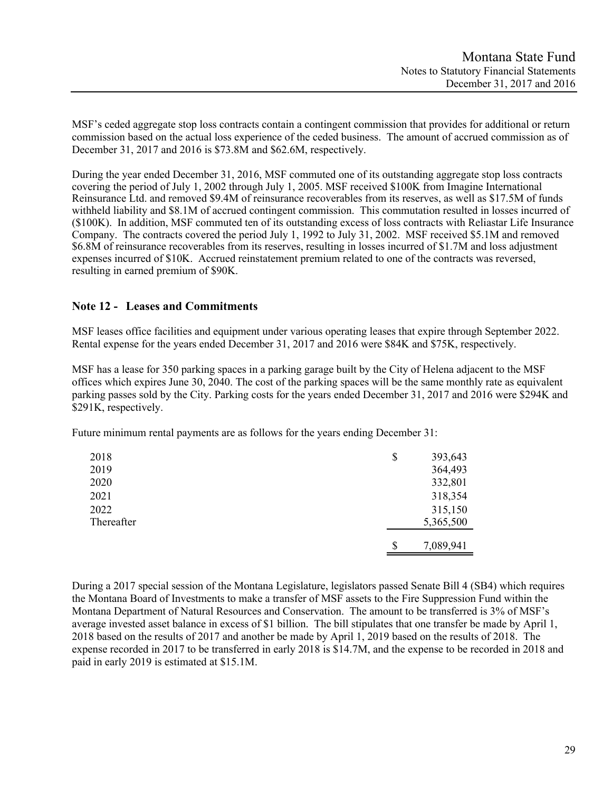MSF's ceded aggregate stop loss contracts contain a contingent commission that provides for additional or return commission based on the actual loss experience of the ceded business. The amount of accrued commission as of December 31, 2017 and 2016 is \$73.8M and \$62.6M, respectively.

During the year ended December 31, 2016, MSF commuted one of its outstanding aggregate stop loss contracts covering the period of July 1, 2002 through July 1, 2005. MSF received \$100K from Imagine International Reinsurance Ltd. and removed \$9.4M of reinsurance recoverables from its reserves, as well as \$17.5M of funds withheld liability and \$8.1M of accrued contingent commission. This commutation resulted in losses incurred of (\$100K). In addition, MSF commuted ten of its outstanding excess of loss contracts with Reliastar Life Insurance Company. The contracts covered the period July 1, 1992 to July 31, 2002. MSF received \$5.1M and removed \$6.8M of reinsurance recoverables from its reserves, resulting in losses incurred of \$1.7M and loss adjustment expenses incurred of \$10K. Accrued reinstatement premium related to one of the contracts was reversed, resulting in earned premium of \$90K.

## **Note 12 - Leases and Commitments**

MSF leases office facilities and equipment under various operating leases that expire through September 2022. Rental expense for the years ended December 31, 2017 and 2016 were \$84K and \$75K, respectively.

MSF has a lease for 350 parking spaces in a parking garage built by the City of Helena adjacent to the MSF offices which expires June 30, 2040. The cost of the parking spaces will be the same monthly rate as equivalent parking passes sold by the City. Parking costs for the years ended December 31, 2017 and 2016 were \$294K and \$291K, respectively.

Future minimum rental payments are as follows for the years ending December 31:

| 2018       | \$<br>393,643   |
|------------|-----------------|
| 2019       | 364,493         |
| 2020       | 332,801         |
| 2021       | 318,354         |
| 2022       | 315,150         |
| Thereafter | 5,365,500       |
|            |                 |
|            | \$<br>7,089,941 |

During a 2017 special session of the Montana Legislature, legislators passed Senate Bill 4 (SB4) which requires the Montana Board of Investments to make a transfer of MSF assets to the Fire Suppression Fund within the Montana Department of Natural Resources and Conservation. The amount to be transferred is 3% of MSF's average invested asset balance in excess of \$1 billion. The bill stipulates that one transfer be made by April 1, 2018 based on the results of 2017 and another be made by April 1, 2019 based on the results of 2018. The expense recorded in 2017 to be transferred in early 2018 is \$14.7M, and the expense to be recorded in 2018 and paid in early 2019 is estimated at \$15.1M.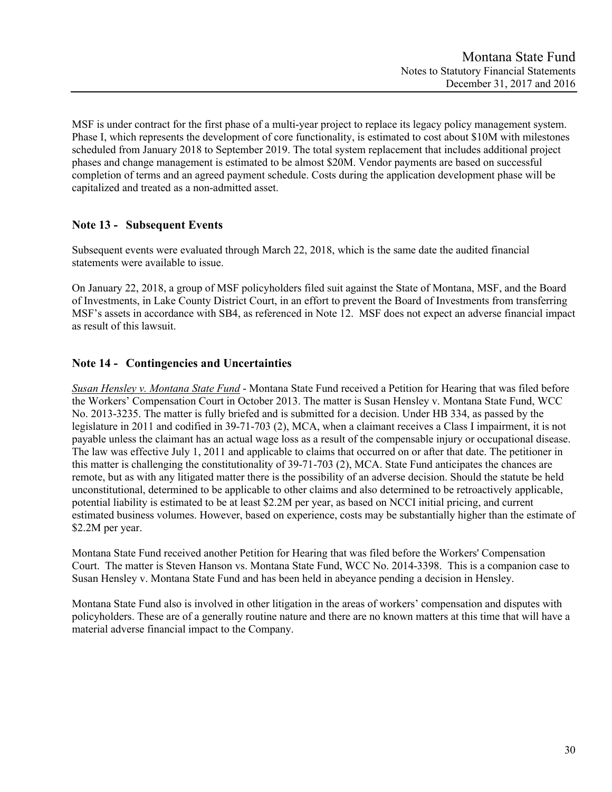MSF is under contract for the first phase of a multi-year project to replace its legacy policy management system. Phase I, which represents the development of core functionality, is estimated to cost about \$10M with milestones scheduled from January 2018 to September 2019. The total system replacement that includes additional project phases and change management is estimated to be almost \$20M. Vendor payments are based on successful completion of terms and an agreed payment schedule. Costs during the application development phase will be capitalized and treated as a non-admitted asset.

# **Note 13 - Subsequent Events**

Subsequent events were evaluated through March 22, 2018, which is the same date the audited financial statements were available to issue.

On January 22, 2018, a group of MSF policyholders filed suit against the State of Montana, MSF, and the Board of Investments, in Lake County District Court, in an effort to prevent the Board of Investments from transferring MSF's assets in accordance with SB4, as referenced in Note 12. MSF does not expect an adverse financial impact as result of this lawsuit.

# **Note 14 - Contingencies and Uncertainties**

*Susan Hensley v. Montana State Fund* - Montana State Fund received a Petition for Hearing that was filed before the Workers' Compensation Court in October 2013. The matter is Susan Hensley v. Montana State Fund, WCC No. 2013-3235. The matter is fully briefed and is submitted for a decision. Under HB 334, as passed by the legislature in 2011 and codified in 39-71-703 (2), MCA, when a claimant receives a Class I impairment, it is not payable unless the claimant has an actual wage loss as a result of the compensable injury or occupational disease. The law was effective July 1, 2011 and applicable to claims that occurred on or after that date. The petitioner in this matter is challenging the constitutionality of 39-71-703 (2), MCA. State Fund anticipates the chances are remote, but as with any litigated matter there is the possibility of an adverse decision. Should the statute be held unconstitutional, determined to be applicable to other claims and also determined to be retroactively applicable, potential liability is estimated to be at least \$2.2M per year, as based on NCCI initial pricing, and current estimated business volumes. However, based on experience, costs may be substantially higher than the estimate of \$2.2M per year.

Montana State Fund received another Petition for Hearing that was filed before the Workers' Compensation Court. The matter is Steven Hanson vs. Montana State Fund, WCC No. 2014-3398. This is a companion case to Susan Hensley v. Montana State Fund and has been held in abeyance pending a decision in Hensley.

Montana State Fund also is involved in other litigation in the areas of workers' compensation and disputes with policyholders. These are of a generally routine nature and there are no known matters at this time that will have a material adverse financial impact to the Company.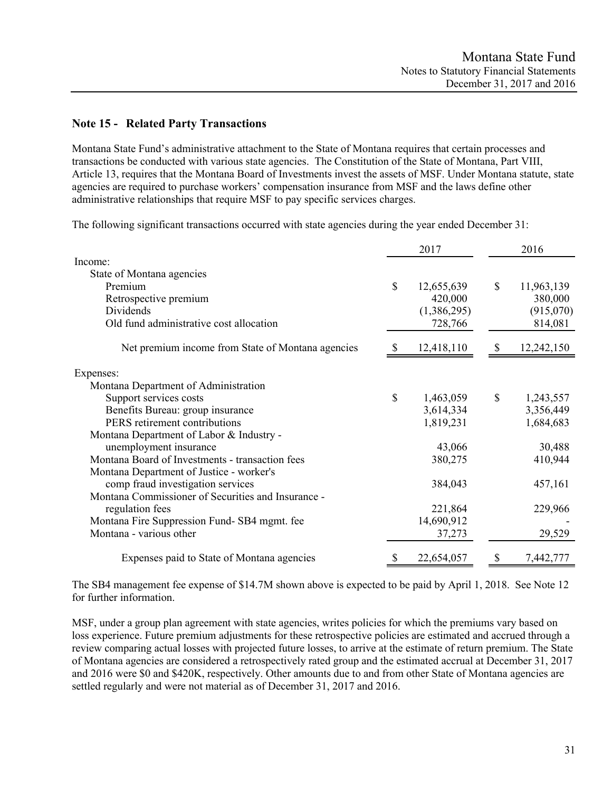## **Note 15 - Related Party Transactions**

Montana State Fund's administrative attachment to the State of Montana requires that certain processes and transactions be conducted with various state agencies. The Constitution of the State of Montana, Part VIII, Article 13, requires that the Montana Board of Investments invest the assets of MSF. Under Montana statute, state agencies are required to purchase workers' compensation insurance from MSF and the laws define other administrative relationships that require MSF to pay specific services charges.

The following significant transactions occurred with state agencies during the year ended December 31:

|                                                    |             | 2017        | 2016             |
|----------------------------------------------------|-------------|-------------|------------------|
| Income:                                            |             |             |                  |
| State of Montana agencies                          |             |             |                  |
| Premium                                            | $\mathbf S$ | 12,655,639  | \$<br>11,963,139 |
| Retrospective premium                              |             | 420,000     | 380,000          |
| Dividends                                          |             | (1,386,295) | (915,070)        |
| Old fund administrative cost allocation            |             | 728,766     | 814,081          |
| Net premium income from State of Montana agencies  |             | 12,418,110  | 12,242,150       |
| Expenses:                                          |             |             |                  |
| Montana Department of Administration               |             |             |                  |
| Support services costs                             | \$          | 1,463,059   | \$<br>1,243,557  |
| Benefits Bureau: group insurance                   |             | 3,614,334   | 3,356,449        |
| PERS retirement contributions                      |             | 1,819,231   | 1,684,683        |
| Montana Department of Labor & Industry -           |             |             |                  |
| unemployment insurance                             |             | 43,066      | 30,488           |
| Montana Board of Investments - transaction fees    |             | 380,275     | 410,944          |
| Montana Department of Justice - worker's           |             |             |                  |
| comp fraud investigation services                  |             | 384,043     | 457,161          |
| Montana Commissioner of Securities and Insurance - |             |             |                  |
| regulation fees                                    |             | 221,864     | 229,966          |
| Montana Fire Suppression Fund-SB4 mgmt. fee        |             | 14,690,912  |                  |
| Montana - various other                            |             | 37,273      | 29,529           |
| Expenses paid to State of Montana agencies         |             | 22,654,057  | 7,442,777        |

The SB4 management fee expense of \$14.7M shown above is expected to be paid by April 1, 2018. See Note 12 for further information.

MSF, under a group plan agreement with state agencies, writes policies for which the premiums vary based on loss experience. Future premium adjustments for these retrospective policies are estimated and accrued through a review comparing actual losses with projected future losses, to arrive at the estimate of return premium. The State of Montana agencies are considered a retrospectively rated group and the estimated accrual at December 31, 2017 and 2016 were \$0 and \$420K, respectively. Other amounts due to and from other State of Montana agencies are settled regularly and were not material as of December 31, 2017 and 2016.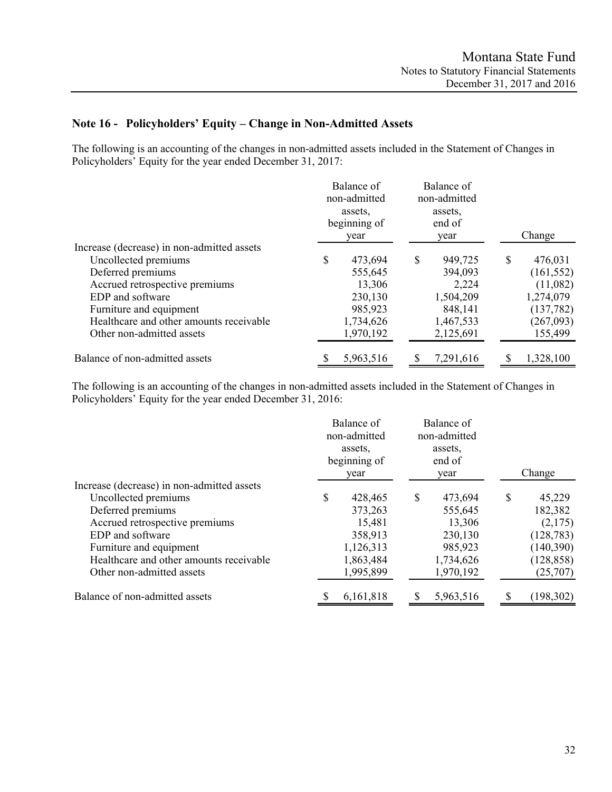# **Note 16 - Policyholders' Equity – Change in Non-Admitted Assets**

The following is an accounting of the changes in non-admitted assets included in the Statement of Changes in Policyholders' Equity for the year ended December 31, 2017:

|                                            | Balance of<br>non-admitted<br>assets.<br>beginning of<br>year |   | Balance of<br>non-admitted<br>assets.<br>end of<br>year | Change        |
|--------------------------------------------|---------------------------------------------------------------|---|---------------------------------------------------------|---------------|
| Increase (decrease) in non-admitted assets |                                                               |   |                                                         |               |
| Uncollected premiums                       | \$<br>473,694                                                 | S | 949,725                                                 | \$<br>476,031 |
| Deferred premiums                          | 555,645                                                       |   | 394,093                                                 | (161, 552)    |
| Accrued retrospective premiums             | 13,306                                                        |   | 2,224                                                   | (11,082)      |
| EDP and software                           | 230,130                                                       |   | 1,504,209                                               | 1,274,079     |
| Furniture and equipment                    | 985,923                                                       |   | 848,141                                                 | (137, 782)    |
| Healthcare and other amounts receivable    | 1,734,626                                                     |   | 1,467,533                                               | (267,093)     |
| Other non-admitted assets                  | 1,970,192                                                     |   | 2,125,691                                               | 155,499       |
| Balance of non-admitted assets             | 5,963,516                                                     |   | 7,291,616                                               | 1,328,100     |

The following is an accounting of the changes in non-admitted assets included in the Statement of Changes in Policyholders' Equity for the year ended December 31, 2016:

|                                            |   | Balance of<br>non-admitted<br>assets.<br>beginning of<br>year |   | Balance of<br>non-admitted<br>assets.<br>end of<br>year | Change       |
|--------------------------------------------|---|---------------------------------------------------------------|---|---------------------------------------------------------|--------------|
| Increase (decrease) in non-admitted assets |   |                                                               |   |                                                         |              |
| Uncollected premiums                       | S | 428,465                                                       | S | 473,694                                                 | \$<br>45,229 |
| Deferred premiums                          |   | 373,263                                                       |   | 555,645                                                 | 182,382      |
| Accrued retrospective premiums             |   | 15,481                                                        |   | 13,306                                                  | (2,175)      |
| EDP and software                           |   | 358,913                                                       |   | 230,130                                                 | (128, 783)   |
| Furniture and equipment                    |   | 1,126,313                                                     |   | 985,923                                                 | (140, 390)   |
| Healthcare and other amounts receivable    |   | 1,863,484                                                     |   | 1,734,626                                               | (128, 858)   |
| Other non-admitted assets                  |   | 1,995,899                                                     |   | 1,970,192                                               | (25,707)     |
| Balance of non-admitted assets             |   | 6,161,818                                                     |   | 5,963,516                                               | (198, 302)   |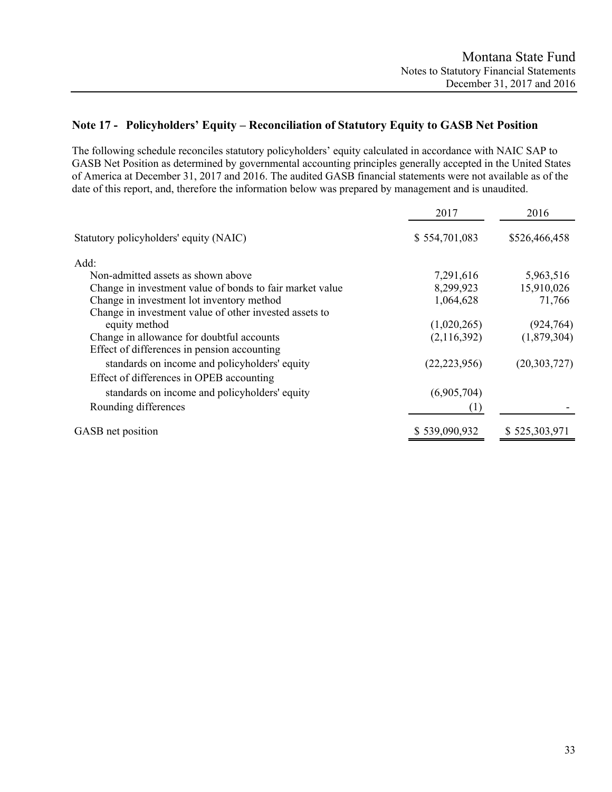# **Note 17 - Policyholders' Equity – Reconciliation of Statutory Equity to GASB Net Position**

The following schedule reconciles statutory policyholders' equity calculated in accordance with NAIC SAP to GASB Net Position as determined by governmental accounting principles generally accepted in the United States of America at December 31, 2017 and 2016. The audited GASB financial statements were not available as of the date of this report, and, therefore the information below was prepared by management and is unaudited.

|                                                          | 2017             | 2016           |
|----------------------------------------------------------|------------------|----------------|
| Statutory policyholders' equity (NAIC)                   | \$554,701,083    | \$526,466,458  |
| Add:                                                     |                  |                |
| Non-admitted assets as shown above                       | 7,291,616        | 5,963,516      |
| Change in investment value of bonds to fair market value | 8,299,923        | 15,910,026     |
| Change in investment lot inventory method                | 1,064,628        | 71,766         |
| Change in investment value of other invested assets to   |                  |                |
| equity method                                            | (1,020,265)      | (924, 764)     |
| Change in allowance for doubtful accounts                | (2,116,392)      | (1,879,304)    |
| Effect of differences in pension accounting              |                  |                |
| standards on income and policyholders' equity            | (22, 223, 956)   | (20, 303, 727) |
| Effect of differences in OPEB accounting                 |                  |                |
| standards on income and policyholders' equity            | (6,905,704)      |                |
| Rounding differences                                     | $\left(1\right)$ |                |
| GASB net position                                        | \$539,090,932    | \$525,303,971  |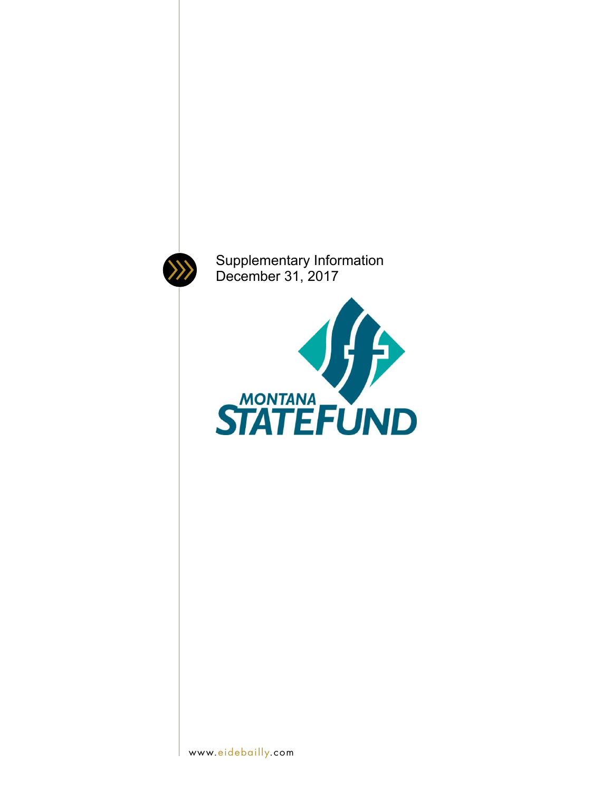

Supplementary Information December 31, 2017

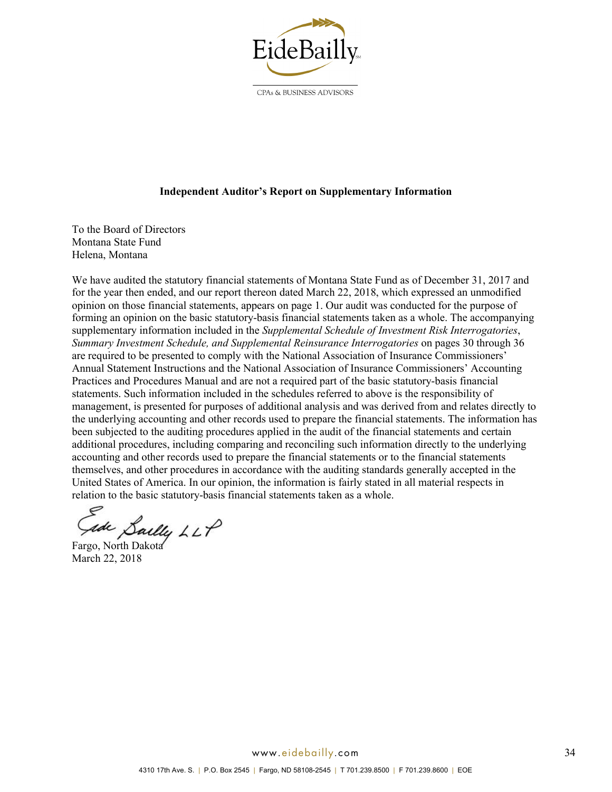

CPAs & BUSINESS ADVISORS

### **Independent Auditor's Report on Supplementary Information**

To the Board of Directors Montana State Fund Helena, Montana

We have audited the statutory financial statements of Montana State Fund as of December 31, 2017 and for the year then ended, and our report thereon dated March 22, 2018, which expressed an unmodified opinion on those financial statements, appears on page 1. Our audit was conducted for the purpose of forming an opinion on the basic statutory-basis financial statements taken as a whole. The accompanying supplementary information included in the *Supplemental Schedule of Investment Risk Interrogatories*, *Summary Investment Schedule, and Supplemental Reinsurance Interrogatories* on pages 30 through 36 are required to be presented to comply with the National Association of Insurance Commissioners' Annual Statement Instructions and the National Association of Insurance Commissioners' Accounting Practices and Procedures Manual and are not a required part of the basic statutory-basis financial statements. Such information included in the schedules referred to above is the responsibility of management, is presented for purposes of additional analysis and was derived from and relates directly to the underlying accounting and other records used to prepare the financial statements. The information has been subjected to the auditing procedures applied in the audit of the financial statements and certain additional procedures, including comparing and reconciling such information directly to the underlying accounting and other records used to prepare the financial statements or to the financial statements themselves, and other procedures in accordance with the auditing standards generally accepted in the United States of America. In our opinion, the information is fairly stated in all material respects in relation to the basic statutory-basis financial statements taken as a whole.

Sailly LLP<br>Fargo, North Dakota

March 22, 2018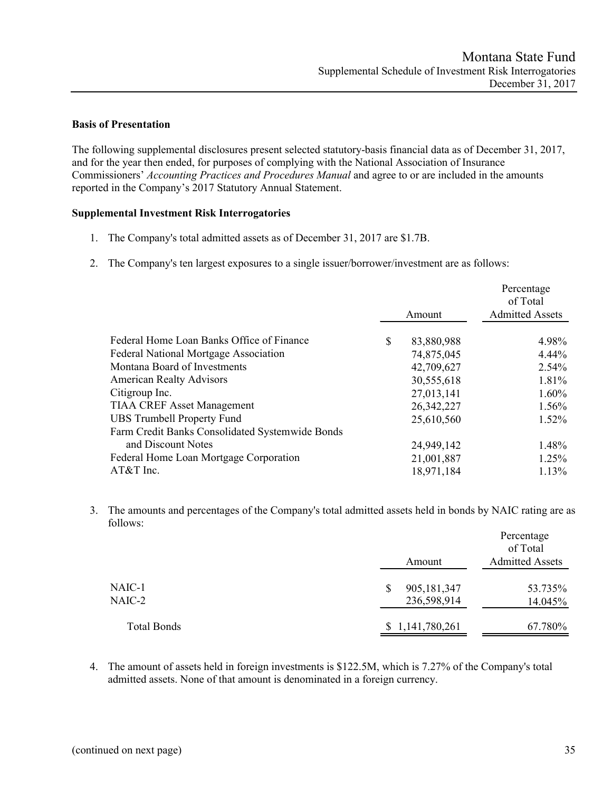## **Basis of Presentation**

The following supplemental disclosures present selected statutory-basis financial data as of December 31, 2017, and for the year then ended, for purposes of complying with the National Association of Insurance Commissioners' *Accounting Practices and Procedures Manual* and agree to or are included in the amounts reported in the Company's 2017 Statutory Annual Statement.

## **Supplemental Investment Risk Interrogatories**

- 1. The Company's total admitted assets as of December 31, 2017 are \$1.7B.
- 2. The Company's ten largest exposures to a single issuer/borrower/investment are as follows:

|                                                 |                  | Percentage<br>of Total |
|-------------------------------------------------|------------------|------------------------|
|                                                 | Amount           | <b>Admitted Assets</b> |
| Federal Home Loan Banks Office of Finance       | \$<br>83,880,988 | 4.98%                  |
| <b>Federal National Mortgage Association</b>    | 74,875,045       | $4.44\%$               |
| Montana Board of Investments                    | 42,709,627       | 2.54%                  |
| <b>American Realty Advisors</b>                 | 30,555,618       | 1.81%                  |
| Citigroup Inc.                                  | 27,013,141       | $1.60\%$               |
| <b>TIAA CREF Asset Management</b>               | 26, 342, 227     | 1.56%                  |
| <b>UBS Trumbell Property Fund</b>               | 25,610,560       | $1.52\%$               |
| Farm Credit Banks Consolidated Systemwide Bonds |                  |                        |
| and Discount Notes                              | 24,949,142       | 1.48%                  |
| Federal Home Loan Mortgage Corporation          | 21,001,887       | 1.25%                  |
| AT&T Inc.                                       | 18,971,184       | 1.13%                  |

3. The amounts and percentages of the Company's total admitted assets held in bonds by NAIC rating are as follows:

|                  | Amount                     | Percentage<br>of Total<br><b>Admitted Assets</b> |
|------------------|----------------------------|--------------------------------------------------|
| NAIC-1<br>NAIC-2 | 905,181,347<br>236,598,914 | 53.735%<br>14.045%                               |
| Total Bonds      | \$1,141,780,261            | 67.780%                                          |

4. The amount of assets held in foreign investments is \$122.5M, which is 7.27% of the Company's total admitted assets. None of that amount is denominated in a foreign currency.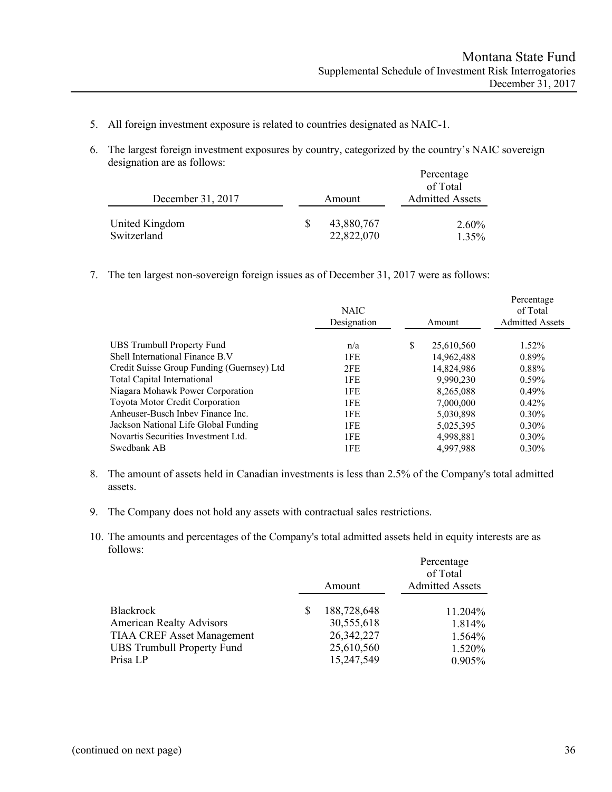- 5. All foreign investment exposure is related to countries designated as NAIC-1.
- 6. The largest foreign investment exposures by country, categorized by the country's NAIC sovereign designation are as follows:

|                               |                          | Percentage<br>of Total |
|-------------------------------|--------------------------|------------------------|
| December 31, 2017             | Amount                   | <b>Admitted Assets</b> |
| United Kingdom<br>Switzerland | 43,880,767<br>22,822,070 | 2.60%<br>1.35%         |

7. The ten largest non-sovereign foreign issues as of December 31, 2017 were as follows:

|                                            | <b>NAIC</b><br>Designation | Amount           | Percentage<br>of Total<br><b>Admitted Assets</b> |
|--------------------------------------------|----------------------------|------------------|--------------------------------------------------|
| UBS Trumbull Property Fund                 | n/a                        | \$<br>25,610,560 | $1.52\%$                                         |
| Shell International Finance B.V            | 1FE                        | 14,962,488       | $0.89\%$                                         |
| Credit Suisse Group Funding (Guernsey) Ltd | 2FE                        | 14,824,986       | 0.88%                                            |
| Total Capital International                | 1FE                        | 9.990.230        | $0.59\%$                                         |
| Niagara Mohawk Power Corporation           | 1FE                        | 8,265,088        | $0.49\%$                                         |
| Toyota Motor Credit Corporation            | 1FE                        | 7,000,000        | $0.42\%$                                         |
| Anheuser-Busch Inbey Finance Inc.          | 1FE                        | 5,030,898        | $0.30\%$                                         |
| Jackson National Life Global Funding       | 1FE                        | 5,025,395        | $0.30\%$                                         |
| Novartis Securities Investment Ltd.        | 1FE                        | 4,998,881        | $0.30\%$                                         |
| Swedbank AB                                | 1FE                        | 4.997.988        | $0.30\%$                                         |

- 8. The amount of assets held in Canadian investments is less than 2.5% of the Company's total admitted assets.
- 9. The Company does not hold any assets with contractual sales restrictions.
- 10. The amounts and percentages of the Company's total admitted assets held in equity interests are as follows:

| <b>Admitted Assets</b><br>Amount                | Percentage<br>of Total |
|-------------------------------------------------|------------------------|
|                                                 |                        |
| <b>Blackrock</b><br>188,728,648                 | 11.204%                |
| <b>American Realty Advisors</b><br>30,555,618   | 1.814%                 |
| <b>TIAA CREF Asset Management</b><br>26,342,227 | 1.564%                 |
| <b>UBS Trumbull Property Fund</b><br>25,610,560 | 1.520\%                |
| 15,247,549<br>Prisa LP                          | $0.905\%$              |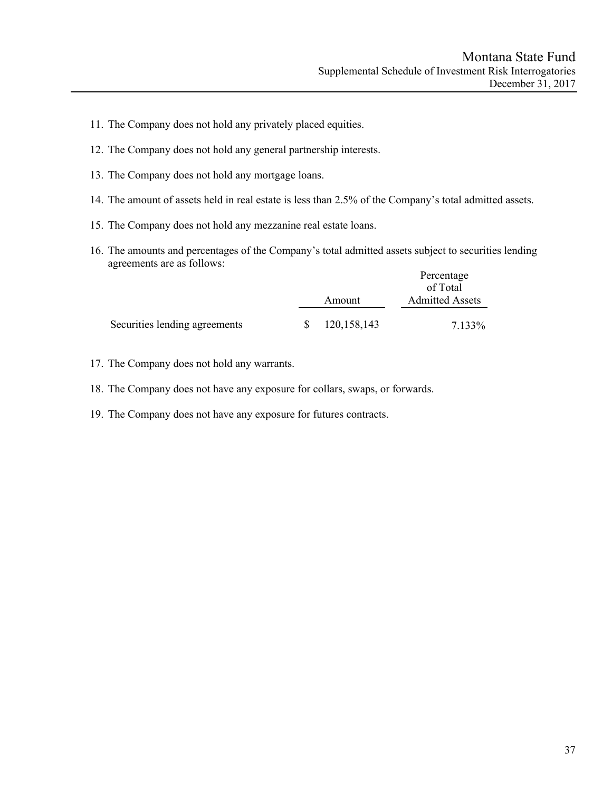- 11. The Company does not hold any privately placed equities.
- 12. The Company does not hold any general partnership interests.
- 13. The Company does not hold any mortgage loans.
- 14. The amount of assets held in real estate is less than 2.5% of the Company's total admitted assets.
- 15. The Company does not hold any mezzanine real estate loans.
- 16. The amounts and percentages of the Company's total admitted assets subject to securities lending agreements are as follows: Percentage

|                               |    |               | <b>Percentage</b><br>of Total |
|-------------------------------|----|---------------|-------------------------------|
|                               |    | Amount        | <b>Admitted Assets</b>        |
| Securities lending agreements | S. | 120, 158, 143 | 7.133%                        |

- 17. The Company does not hold any warrants.
- 18. The Company does not have any exposure for collars, swaps, or forwards.
- 19. The Company does not have any exposure for futures contracts.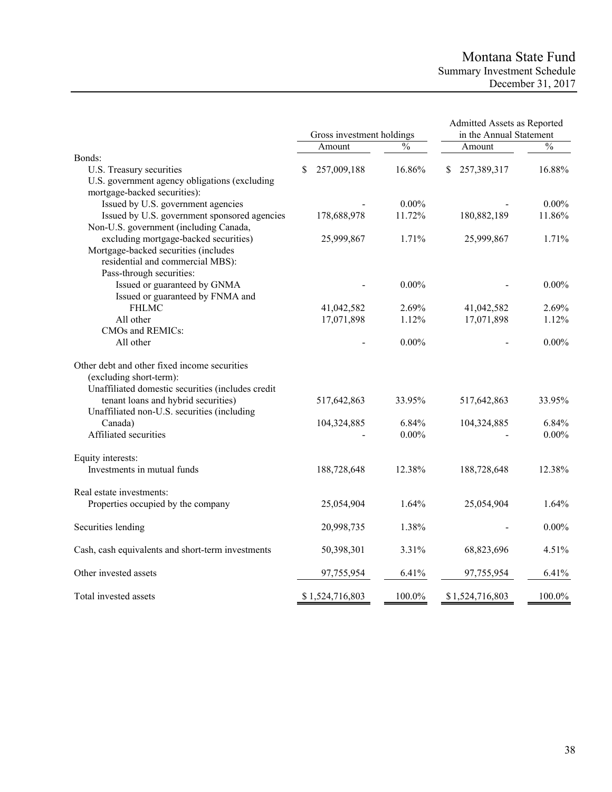# Montana State Fund Summary Investment Schedule December 31, 2017

|                                                   |   | Gross investment holdings |               | Admitted Assets as Reported<br>in the Annual Statement |                 |               |
|---------------------------------------------------|---|---------------------------|---------------|--------------------------------------------------------|-----------------|---------------|
|                                                   |   | Amount                    | $\frac{0}{0}$ |                                                        | Amount          | $\frac{0}{0}$ |
| Bonds:                                            |   |                           |               |                                                        |                 |               |
| U.S. Treasury securities                          | S | 257,009,188               | 16.86%        |                                                        | 257,389,317     | 16.88%        |
| U.S. government agency obligations (excluding     |   |                           |               |                                                        |                 |               |
| mortgage-backed securities):                      |   |                           |               |                                                        |                 |               |
| Issued by U.S. government agencies                |   |                           | $0.00\%$      |                                                        |                 | $0.00\%$      |
| Issued by U.S. government sponsored agencies      |   | 178,688,978               | 11.72%        |                                                        | 180,882,189     | 11.86%        |
| Non-U.S. government (including Canada,            |   |                           |               |                                                        |                 |               |
| excluding mortgage-backed securities)             |   | 25,999,867                | 1.71%         |                                                        | 25,999,867      | 1.71%         |
| Mortgage-backed securities (includes              |   |                           |               |                                                        |                 |               |
| residential and commercial MBS):                  |   |                           |               |                                                        |                 |               |
| Pass-through securities:                          |   |                           |               |                                                        |                 |               |
| Issued or guaranteed by GNMA                      |   |                           | $0.00\%$      |                                                        |                 | $0.00\%$      |
| Issued or guaranteed by FNMA and                  |   |                           |               |                                                        |                 |               |
| <b>FHLMC</b>                                      |   | 41,042,582                | 2.69%         |                                                        | 41,042,582      | 2.69%         |
| All other                                         |   | 17,071,898                | 1.12%         |                                                        | 17,071,898      | 1.12%         |
| CMOs and REMICs:                                  |   |                           |               |                                                        |                 |               |
| All other                                         |   |                           | $0.00\%$      |                                                        |                 | $0.00\%$      |
| Other debt and other fixed income securities      |   |                           |               |                                                        |                 |               |
| (excluding short-term):                           |   |                           |               |                                                        |                 |               |
| Unaffiliated domestic securities (includes credit |   |                           |               |                                                        |                 |               |
| tenant loans and hybrid securities)               |   | 517,642,863               | 33.95%        |                                                        | 517,642,863     | 33.95%        |
| Unaffiliated non-U.S. securities (including       |   |                           |               |                                                        |                 |               |
| Canada)                                           |   | 104,324,885               | 6.84%         |                                                        | 104,324,885     | 6.84%         |
| Affiliated securities                             |   |                           | $0.00\%$      |                                                        |                 | $0.00\%$      |
| Equity interests:                                 |   |                           |               |                                                        |                 |               |
| Investments in mutual funds                       |   | 188,728,648               | 12.38%        |                                                        | 188,728,648     | 12.38%        |
| Real estate investments:                          |   |                           |               |                                                        |                 |               |
| Properties occupied by the company                |   | 25,054,904                | 1.64%         |                                                        | 25,054,904      | 1.64%         |
| Securities lending                                |   | 20,998,735                | 1.38%         |                                                        |                 | $0.00\%$      |
| Cash, cash equivalents and short-term investments |   | 50,398,301                | 3.31%         |                                                        | 68,823,696      | 4.51%         |
| Other invested assets                             |   | 97,755,954                | 6.41%         |                                                        | 97,755,954      | 6.41%         |
| Total invested assets                             |   | \$1,524,716,803           | 100.0%        |                                                        | \$1,524,716,803 | 100.0%        |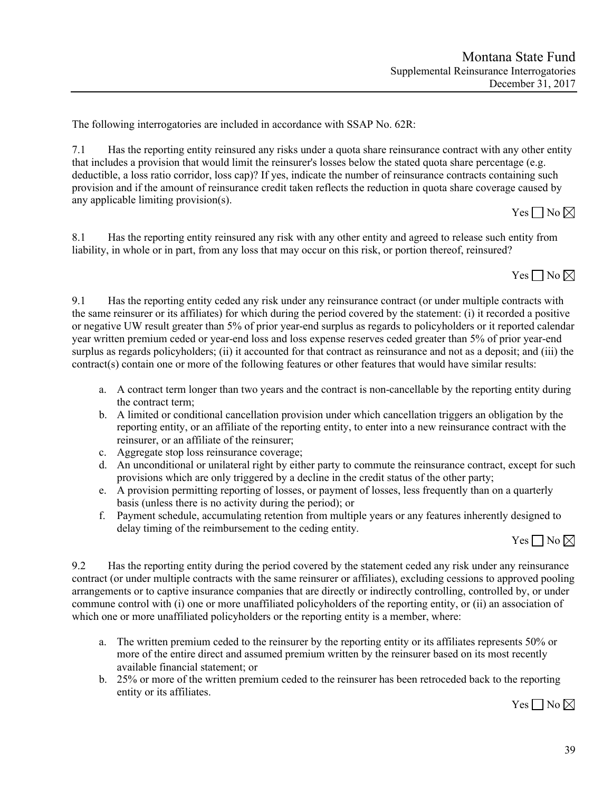The following interrogatories are included in accordance with SSAP No. 62R:

7.1 Has the reporting entity reinsured any risks under a quota share reinsurance contract with any other entity that includes a provision that would limit the reinsurer's losses below the stated quota share percentage (e.g. deductible, a loss ratio corridor, loss cap)? If yes, indicate the number of reinsurance contracts containing such provision and if the amount of reinsurance credit taken reflects the reduction in quota share coverage caused by any applicable limiting provision(s).

 $Yes \Box No \boxtimes$ 

8.1 Has the reporting entity reinsured any risk with any other entity and agreed to release such entity from liability, in whole or in part, from any loss that may occur on this risk, or portion thereof, reinsured?



9.1 Has the reporting entity ceded any risk under any reinsurance contract (or under multiple contracts with the same reinsurer or its affiliates) for which during the period covered by the statement: (i) it recorded a positive or negative UW result greater than 5% of prior year-end surplus as regards to policyholders or it reported calendar year written premium ceded or year-end loss and loss expense reserves ceded greater than 5% of prior year-end surplus as regards policyholders; (ii) it accounted for that contract as reinsurance and not as a deposit; and (iii) the contract(s) contain one or more of the following features or other features that would have similar results:

- a. A contract term longer than two years and the contract is non-cancellable by the reporting entity during the contract term;
- b. A limited or conditional cancellation provision under which cancellation triggers an obligation by the reporting entity, or an affiliate of the reporting entity, to enter into a new reinsurance contract with the reinsurer, or an affiliate of the reinsurer;
- c. Aggregate stop loss reinsurance coverage;
- d. An unconditional or unilateral right by either party to commute the reinsurance contract, except for such provisions which are only triggered by a decline in the credit status of the other party;
- e. A provision permitting reporting of losses, or payment of losses, less frequently than on a quarterly basis (unless there is no activity during the period); or
- f. Payment schedule, accumulating retention from multiple years or any features inherently designed to delay timing of the reimbursement to the ceding entity.

 $Yes \Box No \boxtimes$ 

9.2 Has the reporting entity during the period covered by the statement ceded any risk under any reinsurance contract (or under multiple contracts with the same reinsurer or affiliates), excluding cessions to approved pooling arrangements or to captive insurance companies that are directly or indirectly controlling, controlled by, or under commune control with (i) one or more unaffiliated policyholders of the reporting entity, or (ii) an association of which one or more unaffiliated policyholders or the reporting entity is a member, where:

- a. The written premium ceded to the reinsurer by the reporting entity or its affiliates represents 50% or more of the entire direct and assumed premium written by the reinsurer based on its most recently available financial statement; or
- b. 25% or more of the written premium ceded to the reinsurer has been retroceded back to the reporting entity or its affiliates.

Yes  $\Box$  No  $\boxtimes$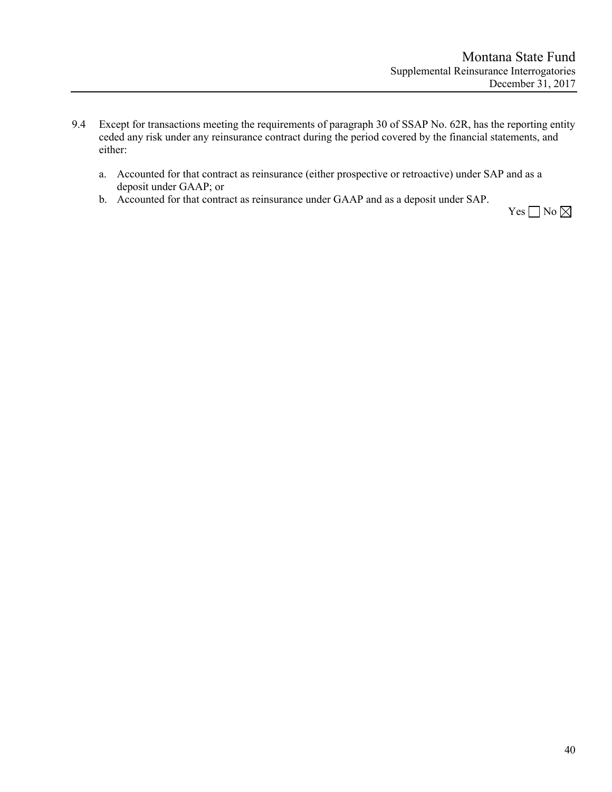- 9.4 Except for transactions meeting the requirements of paragraph 30 of SSAP No. 62R, has the reporting entity ceded any risk under any reinsurance contract during the period covered by the financial statements, and either:
	- a. Accounted for that contract as reinsurance (either prospective or retroactive) under SAP and as a deposit under GAAP; or
	- b. Accounted for that contract as reinsurance under GAAP and as a deposit under SAP.

Yes  $\Box$  No  $\boxtimes$